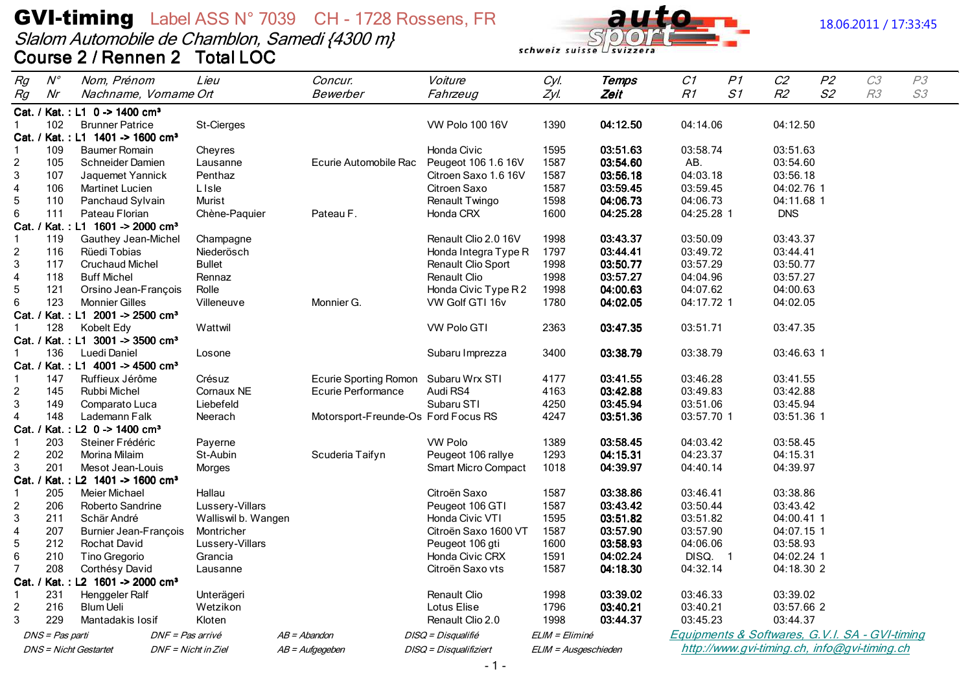# **GVI-timing** Label ASS N° 7039 CH - 1728 Rossens, FR<br>Slalom Automobile de Chamblon, Samedi {4300 m}<br>Course 2 / Rennen 2 Total LOC



#### 18.06.2011 / 17:33:45

| Rg                             | $N^{\circ}$     | Nom, Prénom                                  | Lieu                   | Concur.                             | Voiture                     | Cyl.                 | Temps                | C1                  | P1 | C <sub>2</sub>           | P <sub>2</sub> | C3                                             | P3 |
|--------------------------------|-----------------|----------------------------------------------|------------------------|-------------------------------------|-----------------------------|----------------------|----------------------|---------------------|----|--------------------------|----------------|------------------------------------------------|----|
| Rg                             | Nr              | Nachname, Vorname Ort                        |                        | Bewerber                            | Fahrzeug                    | Zyl.                 | Zeit                 | R1                  | S1 | R2                       | S2             | R3                                             | S3 |
|                                |                 | Cat. / Kat.: L1 0 -> 1400 cm <sup>3</sup>    |                        |                                     |                             |                      |                      |                     |    |                          |                |                                                |    |
| 1                              | 102             | <b>Brunner Patrice</b>                       | St-Cierges             |                                     | <b>VW Polo 100 16V</b>      | 1390                 | 04:12.50             | 04:14.06            |    | 04:12.50                 |                |                                                |    |
|                                |                 | Cat. / Kat.: L1 1401 -> 1600 cm <sup>3</sup> |                        |                                     |                             |                      |                      |                     |    |                          |                |                                                |    |
| 1                              | 109             | <b>Baumer Romain</b>                         | Cheyres                |                                     | Honda Civic                 | 1595                 | 03:51.63             | 03:58.74            |    | 03:51.63                 |                |                                                |    |
| $\overline{2}$                 | 105             | Schneider Damien                             | Lausanne               | Ecurie Automobile Rac               | Peugeot 106 1.6 16V         | 1587                 | 03:54.60             | AB.                 |    | 03:54.60                 |                |                                                |    |
| 3                              | 107             | Jaquemet Yannick                             | Penthaz                |                                     | Citroen Saxo 1.6 16V        | 1587                 | 03:56.18             | 04:03.18            |    | 03:56.18                 |                |                                                |    |
| $\overline{4}$                 | 106             | Martinet Lucien                              | <b>L</b> Isle          |                                     | Citroen Saxo                | 1587                 | 03:59.45             | 03:59.45            |    | 04:02.76 1               |                |                                                |    |
| 5                              | 110             | Panchaud Sylvain                             | Murist                 |                                     | Renault Twingo              | 1598                 | 04:06.73             | 04:06.73            |    | 04:11.68 1               |                |                                                |    |
| 6                              | 111             | Pateau Florian                               | Chène-Paquier          | Pateau F.                           | Honda CRX                   | 1600                 | 04:25.28             | 04:25.28 1          |    | <b>DNS</b>               |                |                                                |    |
| Cat. /                         |                 | Kat.: L1 1601 -> 2000 cm <sup>3</sup>        |                        |                                     |                             |                      |                      |                     |    |                          |                |                                                |    |
| $\mathbf{1}$                   | 119             | Gauthey Jean-Michel                          | Champagne              |                                     | Renault Clio 2.0 16V        | 1998                 | 03:43.37             | 03:50.09            |    | 03:43.37                 |                |                                                |    |
| $\overline{c}$                 | 116             | Rüedi Tobias                                 | Niederösch             |                                     | Honda Integra Type R        | 1797                 | 03:44.41             | 03:49.72            |    | 03:44.41                 |                |                                                |    |
| 3                              | 117             | <b>Cruchaud Michel</b>                       | <b>Bullet</b>          |                                     | Renault Clio Sport          | 1998                 | 03:50.77             | 03:57.29            |    | 03:50.77                 |                |                                                |    |
| $\overline{\mathbf{4}}$        | 118             | <b>Buff Michel</b>                           | Rennaz                 |                                     | Renault Clio                | 1998                 | 03:57.27             | 04:04.96            |    | 03:57.27                 |                |                                                |    |
| $\mathbf 5$                    | 121             | Orsino Jean-François                         | Rolle                  |                                     | Honda Civic Type R2         | 1998                 | 04:00.63             | 04:07.62            |    | 04:00.63                 |                |                                                |    |
| 6                              | 123             | <b>Monnier Gilles</b>                        | Villeneuve             | Monnier G.                          | VW Golf GTI 16v             | 1780                 | 04:02.05             | 04:17.72 1          |    | 04:02.05                 |                |                                                |    |
|                                |                 | Cat. / Kat.: L1 2001 -> 2500 cm <sup>3</sup> |                        |                                     |                             |                      |                      |                     |    |                          |                |                                                |    |
|                                | 128             | Kobelt Edy                                   | Wattwil                |                                     | <b>VW Polo GTI</b>          | 2363                 | 03:47.35             | 03:51.71            |    | 03:47.35                 |                |                                                |    |
|                                |                 | Cat. / Kat.: L1 3001 -> 3500 cm <sup>3</sup> |                        |                                     |                             |                      |                      |                     |    |                          |                |                                                |    |
| 1                              | 136             | Luedi Daniel                                 | Losone                 |                                     | Subaru Imprezza             | 3400                 | 03:38.79             | 03:38.79            |    | 03:46.63 1               |                |                                                |    |
|                                |                 | Cat. / Kat.: L1 4001 -> 4500 cm <sup>3</sup> |                        |                                     |                             |                      |                      |                     |    |                          |                |                                                |    |
| $\mathbf{1}$                   | 147             | Ruffieux Jérôme                              | Crésuz                 | <b>Ecurie Sporting Romon</b>        | Subaru Wrx STI              | 4177                 | 03:41.55             | 03:46.28            |    | 03:41.55                 |                |                                                |    |
| $\overline{c}$                 | 145             | Rubbi Michel                                 | Cornaux NE             | <b>Ecurie Performance</b>           | Audi RS4                    | 4163                 | 03:42.88             | 03:49.83            |    | 03:42.88                 |                |                                                |    |
| 3                              | 149             | Comparato Luca                               | Liebefeld              |                                     | Subaru STI                  | 4250                 | 03:45.94             | 03:51.06            |    | 03:45.94                 |                |                                                |    |
| $\overline{4}$                 | 148             | Lademann Falk                                | Neerach                | Motorsport-Freunde-Os Ford Focus RS |                             | 4247                 | 03:51.36             | 03:57.70 1          |    | 03:51.36 1               |                |                                                |    |
| Cat. /                         |                 | Kat.: L2 0 -> 1400 cm <sup>3</sup>           |                        |                                     |                             |                      |                      |                     |    |                          |                |                                                |    |
| $\mathbf{1}$                   | 203             | Steiner Frédéric                             | Payerne                |                                     | <b>VW Polo</b>              | 1389                 | 03:58.45             | 04:03.42            |    | 03:58.45                 |                |                                                |    |
| $\overline{c}$                 | 202             | Morina Milaim                                | St-Aubin               | Scuderia Taifyn                     | Peugeot 106 rallye          | 1293                 | 04:15.31             | 04:23.37            |    | 04:15.31                 |                |                                                |    |
| 3                              | 201             | Mesot Jean-Louis                             | Morges                 |                                     | <b>Smart Micro Compact</b>  | 1018                 | 04:39.97             | 04:40.14            |    | 04:39.97                 |                |                                                |    |
| Cat.                           |                 | Kat.: L2 1401 -> 1600 cm <sup>3</sup>        |                        |                                     |                             |                      |                      |                     |    |                          |                |                                                |    |
| $\mathbf{1}$                   | 205             | Meier Michael                                | Hallau                 |                                     | Citroën Saxo                | 1587                 | 03:38.86             | 03:46.41            |    | 03:38.86                 |                |                                                |    |
| $\overline{\mathbf{c}}$        | 206             | Roberto Sandrine                             | Lussery-Villars        |                                     | Peugeot 106 GTI             | 1587                 | 03:43.42             | 03:50.44            |    | 03:43.42                 |                |                                                |    |
| 3                              | 211             | Schär André                                  | Walliswil b. Wangen    |                                     | Honda Civic VTI             | 1595                 | 03:51.82<br>03:57.90 | 03:51.82            |    | 04:00.41 1               |                |                                                |    |
| $\overline{\mathbf{4}}$        | 207             | <b>Burnier Jean-François</b>                 | Montricher             |                                     | Citroën Saxo 1600 VT        | 1587                 |                      | 03:57.90            |    | 04:07.15 1<br>03:58.93   |                |                                                |    |
| 5                              | 212             | Rochat David                                 | Lussery-Villars        |                                     | Peugeot 106 gti             | 1600                 | 03:58.93<br>04:02.24 | 04:06.06            |    |                          |                |                                                |    |
| $\,6$<br>$\overline{7}$        | 210<br>208      | Tino Gregorio                                | Grancia                |                                     | <b>Honda Civic CRX</b>      | 1591<br>1587         | 04:18.30             | DISQ. 1<br>04:32.14 |    | 04:02.24 1<br>04:18.30 2 |                |                                                |    |
|                                |                 | Corthésy David                               | Lausanne               |                                     | Citroën Saxo vts            |                      |                      |                     |    |                          |                |                                                |    |
| Cat. /                         | 231             | Kat.: L2 1601 -> 2000 cm <sup>3</sup>        |                        |                                     |                             | 1998                 | 03:39.02             | 03:46.33            |    | 03:39.02                 |                |                                                |    |
| $\mathbf{1}$<br>$\overline{c}$ | 216             | Henggeler Ralf<br><b>Blum Ueli</b>           | Unterägeri<br>Wetzikon |                                     | Renault Clio<br>Lotus Elise | 1796                 | 03:40.21             | 03:40.21            |    | 03:57.66 2               |                |                                                |    |
|                                | 229             | Mantadakis Iosif                             | Kloten                 |                                     | Renault Clio 2.0            | 1998                 | 03:44.37             | 03:45.23            |    | 03:44.37                 |                |                                                |    |
| 3                              |                 |                                              |                        |                                     |                             |                      |                      |                     |    |                          |                |                                                |    |
|                                | DNS = Pas parti |                                              | DNF = Pas arrivé       | $AB = Abandon$                      | DISQ = Disqualifié          | ELIM = Eliminé       |                      |                     |    |                          |                | Equipments & Softwares, G.V.I. SA - GVI-timing |    |
|                                |                 | <b>DNS</b> = Nicht Gestartet                 | DNF = Nicht in Ziel    | $AB = \textit{Autgegeben}$          | DISQ = Disqualifiziert      | ELIM = Ausgeschieden |                      |                     |    |                          |                | http://www.gvi-timing.ch, info@gvi-timing.ch   |    |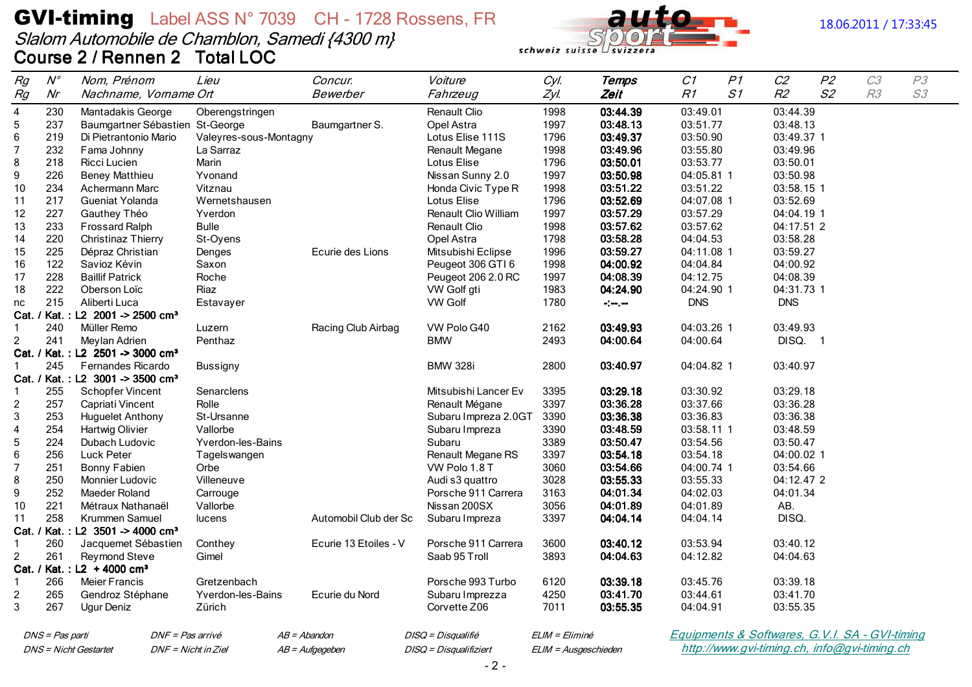# **GVI-timing** Label ASS N° 7039 CH - 1728 Rossens, FR Slalom Automobile de Chamblon, Samedi {4300 m}<br>Course 2 / Rennen 2 Total LOC



#### 18.06.2011 / 17:33:45

| Rg                      | $N^{\circ}$     | Nom, Prénom                                         | Lieu                     | Concur.               | Voiture                | Cyl.                 | Temps    | C1                                             | P1 | C2                                           | P <sub>2</sub> | C3             | P3 |
|-------------------------|-----------------|-----------------------------------------------------|--------------------------|-----------------------|------------------------|----------------------|----------|------------------------------------------------|----|----------------------------------------------|----------------|----------------|----|
| Rg                      | Nr              | Nachname, Vorname Ort                               |                          | Bewerber              | Fahrzeug               | Zyl.                 | Zeit     | R1                                             | S1 | R2                                           | S <sub>2</sub> | R <sub>3</sub> | S3 |
| $\overline{\mathbf{4}}$ | 230             | Mantadakis George                                   | Oberengstringen          |                       | Renault Clio           | 1998                 | 03:44.39 | 03:49.01                                       |    | 03:44.39                                     |                |                |    |
| $\mathbf 5$             | 237             | Baumgartner Sébastien St-George                     |                          | Baumgartner S.        | Opel Astra             | 1997                 | 03:48.13 | 03:51.77                                       |    | 03:48.13                                     |                |                |    |
| $\,6$                   | 219             | Di Pietrantonio Mario                               | Valeyres-sous-Montagny   |                       | Lotus Elise 111S       | 1796                 | 03:49.37 | 03:50.90                                       |    | 03:49.37 1                                   |                |                |    |
| $\overline{7}$          | 232             | Fama Johnny                                         | La Sarraz                |                       | Renault Megane         | 1998                 | 03:49.96 | 03:55.80                                       |    | 03:49.96                                     |                |                |    |
| 8                       | 218             | Ricci Lucien                                        | Marin                    |                       | Lotus Elise            | 1796                 | 03:50.01 | 03:53.77                                       |    | 03:50.01                                     |                |                |    |
| 9                       | 226             | <b>Beney Matthieu</b>                               | Yvonand                  |                       | Nissan Sunny 2.0       | 1997                 | 03:50.98 | 04:05.81 1                                     |    | 03:50.98                                     |                |                |    |
| 10                      | 234             | Achermann Marc                                      | Vitznau                  |                       | Honda Civic Type R     | 1998                 | 03:51.22 | 03:51.22                                       |    | 03:58.15 1                                   |                |                |    |
| 11                      | 217             | Gueniat Yolanda                                     | Wernetshausen            |                       | Lotus Elise            | 1796                 | 03:52.69 | 04:07.08 1                                     |    | 03:52.69                                     |                |                |    |
| 12                      | 227             | Gauthey Théo                                        | Yverdon                  |                       | Renault Clio William   | 1997                 | 03:57.29 | 03:57.29                                       |    | 04:04.19 1                                   |                |                |    |
| 13                      | 233             | Frossard Ralph                                      | <b>Bulle</b>             |                       | Renault Clio           | 1998                 | 03:57.62 | 03:57.62                                       |    | 04:17.51 2                                   |                |                |    |
| 14                      | 220             | Christinaz Thierry                                  | St-Oyens                 |                       | Opel Astra             | 1798                 | 03:58.28 | 04:04.53                                       |    | 03:58.28                                     |                |                |    |
| 15                      | 225             | Dépraz Christian                                    | Denges                   | Ecurie des Lions      | Mitsubishi Eclipse     | 1996                 | 03:59.27 | 04:11.08 1                                     |    | 03:59.27                                     |                |                |    |
| 16                      | 122             | Savioz Kévin                                        | Saxon                    |                       | Peugeot 306 GTI 6      | 1998                 | 04:00.92 | 04:04.84                                       |    | 04:00.92                                     |                |                |    |
| 17                      | 228             | <b>Baillif Patrick</b>                              | Roche                    |                       | Peugeot 206 2.0 RC     | 1997                 | 04:08.39 | 04:12.75                                       |    | 04:08.39                                     |                |                |    |
| 18                      | 222             | Oberson Loïc                                        | Riaz                     |                       | VW Golf gti            | 1983                 | 04:24.90 | 04:24.90 1                                     |    | 04:31.73 1                                   |                |                |    |
| nc                      | 215             | Aliberti Luca                                       | Estavayer                |                       | <b>VW Golf</b>         | 1780                 | المرموم  | <b>DNS</b>                                     |    | <b>DNS</b>                                   |                |                |    |
|                         |                 | Cat. / Kat.: L2 2001 -> 2500 cm <sup>3</sup>        |                          |                       |                        |                      |          |                                                |    |                                              |                |                |    |
| $\mathbf{1}$            | 240             | Müller Remo                                         | Luzern                   | Racing Club Airbag    | VW Polo G40            | 2162                 | 03:49.93 | 04:03.26 1                                     |    | 03:49.93                                     |                |                |    |
| $\overline{2}$          | 241             | Meylan Adrien                                       | Penthaz                  |                       | <b>BMW</b>             | 2493                 | 04:00.64 | 04:00.64                                       |    | DISQ. 1                                      |                |                |    |
|                         |                 | Cat. / Kat.: L2 2501 -> 3000 cm <sup>3</sup>        |                          |                       |                        |                      |          |                                                |    |                                              |                |                |    |
| $\mathbf{1}$            | 245             | Fernandes Ricardo                                   | <b>Bussigny</b>          |                       | <b>BMW 328i</b>        | 2800                 | 03:40.97 | 04:04.82 1                                     |    | 03:40.97                                     |                |                |    |
|                         |                 | Cat. / Kat.: L2 3001 -> 3500 cm <sup>3</sup>        |                          |                       |                        |                      |          |                                                |    |                                              |                |                |    |
| -1                      | 255             | <b>Schopfer Vincent</b>                             | Senarclens               |                       | Mitsubishi Lancer Ev   | 3395                 | 03:29.18 | 03:30.92                                       |    | 03:29.18                                     |                |                |    |
| $\overline{c}$          | 257             | Capriati Vincent                                    | Rolle                    |                       | Renault Mégane         | 3397                 | 03:36.28 | 03:37.66                                       |    | 03:36.28                                     |                |                |    |
| 3                       | 253             | <b>Huguelet Anthony</b>                             | St-Ursanne               |                       | Subaru Impreza 2.0GT   | 3390                 | 03:36.38 | 03:36.83                                       |    | 03:36.38                                     |                |                |    |
| $\overline{4}$          | 254             | Hartwig Olivier                                     | Vallorbe                 |                       | Subaru Impreza         | 3390                 | 03:48.59 | 03:58.11 1                                     |    | 03:48.59                                     |                |                |    |
| $\overline{5}$          | 224             | Dubach Ludovic                                      | Yverdon-les-Bains        |                       | Subaru                 | 3389                 | 03:50.47 | 03:54.56                                       |    | 03:50.47                                     |                |                |    |
| 6                       | 256             | Luck Peter                                          | Tagelswangen             |                       | Renault Megane RS      | 3397                 | 03:54.18 | 03:54.18                                       |    | 04:00.02 1                                   |                |                |    |
| $\overline{7}$          | 251             | <b>Bonny Fabien</b>                                 | Orbe                     |                       | VW Polo 1.8 T          | 3060                 | 03:54.66 | 04:00.74 1                                     |    | 03:54.66                                     |                |                |    |
| 8                       | 250             | Monnier Ludovic                                     | Villeneuve               |                       | Audi s3 quattro        | 3028                 | 03:55.33 | 03:55.33                                       |    | 04:12.47 2                                   |                |                |    |
| 9                       | 252             | <b>Maeder Roland</b>                                | Carrouge                 |                       | Porsche 911 Carrera    | 3163                 | 04:01.34 | 04:02.03                                       |    | 04:01.34                                     |                |                |    |
| 10                      | 221             | Métraux Nathanaël                                   | Vallorbe                 |                       | Nissan 200SX           | 3056                 | 04:01.89 | 04:01.89                                       |    | AB.                                          |                |                |    |
| 11                      | 258             | Krummen Samuel                                      | lucens                   | Automobil Club der Sc | Subaru Impreza         | 3397                 | 04:04.14 | 04:04.14                                       |    | DISQ.                                        |                |                |    |
|                         |                 | Cat. / Kat.: L2 3501 -> 4000 cm <sup>3</sup>        |                          |                       |                        |                      |          |                                                |    |                                              |                |                |    |
| $\mathbf{1}$            | 260             | Jacquemet Sébastien                                 | Conthey                  | Ecurie 13 Etoiles - V | Porsche 911 Carrera    | 3600                 | 03:40.12 | 03:53.94                                       |    | 03:40.12                                     |                |                |    |
| $\overline{c}$          | 261             | Reymond Steve                                       | Gimel                    |                       | Saab 95 Troll          | 3893                 | 04:04.63 | 04:12.82                                       |    | 04:04.63                                     |                |                |    |
|                         |                 | Cat. / Kat.: L2 + 4000 cm <sup>3</sup>              |                          |                       |                        |                      |          |                                                |    |                                              |                |                |    |
| $\mathbf{1}$            | 266             | Meier Francis                                       | Gretzenbach              |                       | Porsche 993 Turbo      | 6120                 | 03:39.18 | 03:45.76                                       |    | 03:39.18                                     |                |                |    |
| $\overline{c}$          | 265             | Gendroz Stéphane                                    | <b>Yverdon-les-Bains</b> | Ecurie du Nord        | Subaru Imprezza        | 4250                 | 03:41.70 | 03:44.61                                       |    | 03:41.70                                     |                |                |    |
| 3                       | 267             | Ugur Deniz                                          | Zürich                   |                       | Corvette Z06           | 7011                 | 03:55.35 | 04:04.91                                       |    | 03:55.35                                     |                |                |    |
|                         |                 |                                                     |                          |                       |                        |                      |          |                                                |    |                                              |                |                |    |
|                         | DNS = Pas parti | DNF = Pas arrivé                                    | $AB = Abandon$           |                       | DISQ = Disqualifié     | ELIM = Eliminé       |          | Equipments & Softwares, G.V.I. SA - GVI-timing |    |                                              |                |                |    |
|                         |                 | <b>DNS</b> = Nicht Gestartet<br>DNF = Nicht in Ziel |                          | AB = Aufgegeben       | DISQ = Disqualifiziert | ELIM = Ausgeschieden |          |                                                |    | http://www.gvi-timing.ch, info@gvi-timing.ch |                |                |    |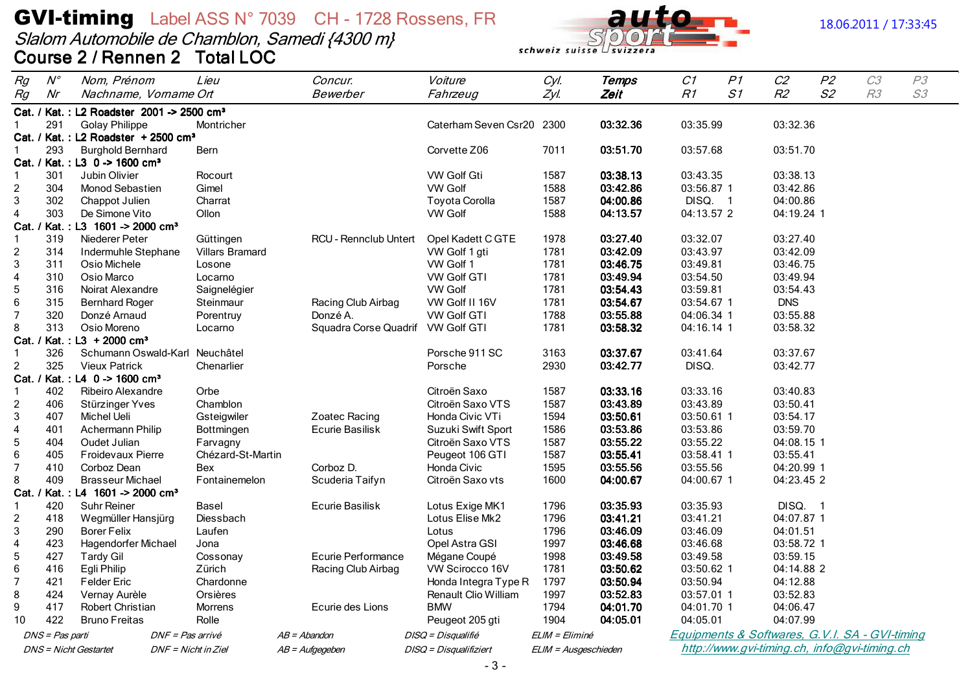# **GVI-timing** Label ASS N° 7039 CH - 1728 Rossens, FR<br>Slalom Automobile de Chamblon, Samedi {4300 m}<br>Course 2 / Rennen 2 Total LOC





#### 18.06.2011 / 17:33:45

| Rg                           | $N^{\circ}$     | Nom, Prénom                                           | Lieu                   | Concur.                           | Voiture                                 | Cyl.                 | <b>Temps</b>         | C1                    | P1 | C2                   | P2 | C3                                             | P3 |
|------------------------------|-----------------|-------------------------------------------------------|------------------------|-----------------------------------|-----------------------------------------|----------------------|----------------------|-----------------------|----|----------------------|----|------------------------------------------------|----|
| Rg                           | Nr              | Nachname, Vorname Ort                                 |                        | Bewerber                          | Fahrzeug                                | Zyl.                 | Zeit                 | R1                    | S1 | R <sub>2</sub>       | S2 | R3                                             | S3 |
|                              |                 | Cat. / Kat.: L2 Roadster 2001 -> 2500 cm <sup>3</sup> |                        |                                   |                                         |                      |                      |                       |    |                      |    |                                                |    |
|                              | 291             | <b>Golay Philippe</b>                                 | Montricher             |                                   | Caterham Seven Csr20 2300               |                      | 03:32.36             | 03:35.99              |    | 03:32.36             |    |                                                |    |
|                              |                 | Cat. / Kat.: L2 Roadster + 2500 cm <sup>3</sup>       |                        |                                   |                                         |                      |                      |                       |    |                      |    |                                                |    |
| -1                           | 293             | <b>Burghold Bernhard</b>                              | Bern                   |                                   | Corvette Z06                            | 7011                 | 03:51.70             | 03:57.68              |    | 03:51.70             |    |                                                |    |
|                              |                 | Cat. / Kat.: L3 0 -> 1600 cm <sup>3</sup>             |                        |                                   |                                         |                      |                      |                       |    |                      |    |                                                |    |
| $\mathbf 1$                  | 301             | Jubin Olivier                                         | Rocourt                |                                   | <b>VW Golf Gti</b>                      | 1587                 | 03:38.13<br>03:42.86 | 03:43.35              |    | 03:38.13             |    |                                                |    |
| $\overline{c}$<br>$\sqrt{3}$ | 304<br>302      | <b>Monod Sebastien</b>                                | Gimel<br>Charrat       |                                   | <b>VW Golf</b><br><b>Toyota Corolla</b> | 1588<br>1587         | 04:00.86             | 03:56.87 1<br>DISQ. 1 |    | 03:42.86<br>04:00.86 |    |                                                |    |
| $\overline{4}$               | 303             | Chappot Julien<br>De Simone Vito                      | Ollon                  |                                   | <b>VW Golf</b>                          | 1588                 | 04:13.57             | 04:13.57 2            |    | 04:19.24 1           |    |                                                |    |
| Cat.                         |                 | / Kat.: L3 1601 -> 2000 cm <sup>3</sup>               |                        |                                   |                                         |                      |                      |                       |    |                      |    |                                                |    |
| -1                           | 319             | Niederer Peter                                        | Güttingen              | <b>RCU - Rennclub Untert</b>      | Opel Kadett C GTE                       | 1978                 | 03:27.40             | 03:32.07              |    | 03:27.40             |    |                                                |    |
| $\overline{2}$               | 314             | Indermuhle Stephane                                   | <b>Villars Bramard</b> |                                   | VW Golf 1 gti                           | 1781                 | 03:42.09             | 03:43.97              |    | 03:42.09             |    |                                                |    |
| $\sqrt{3}$                   | 311             | Osio Michele                                          | Losone                 |                                   | VW Golf 1                               | 1781                 | 03:46.75             | 03:49.81              |    | 03:46.75             |    |                                                |    |
| $\overline{4}$               | 310             | Osio Marco                                            | Locarno                |                                   | <b>VW Golf GTI</b>                      | 1781                 | 03:49.94             | 03:54.50              |    | 03:49.94             |    |                                                |    |
| $\sqrt{5}$                   | 316             | Noirat Alexandre                                      | Saignelégier           |                                   | <b>VW Golf</b>                          | 1781                 | 03:54.43             | 03:59.81              |    | 03:54.43             |    |                                                |    |
| $\,6\,$                      | 315             | <b>Bernhard Roger</b>                                 | Steinmaur              | Racing Club Airbag                | VW Golf II 16V                          | 1781                 | 03:54.67             | 03:54.67 1            |    | <b>DNS</b>           |    |                                                |    |
| $\overline{7}$               | 320             | Donzé Arnaud                                          | Porentruy              | Donzé A.                          | <b>VW Golf GTI</b>                      | 1788                 | 03:55.88             | 04:06.34 1            |    | 03:55.88             |    |                                                |    |
| 8                            | 313             | Osio Moreno                                           | Locarno                | Squadra Corse Quadrif VW Golf GTI |                                         | 1781                 | 03:58.32             | 04:16.14 1            |    | 03:58.32             |    |                                                |    |
|                              |                 | Cat. / Kat.: L3 + 2000 cm <sup>3</sup>                |                        |                                   |                                         |                      |                      |                       |    |                      |    |                                                |    |
|                              | 326             | Schumann Oswald-Karl Neuchâtel                        |                        |                                   | Porsche 911 SC                          | 3163                 | 03:37.67             | 03:41.64              |    | 03:37.67             |    |                                                |    |
| 2                            | 325             | <b>Vieux Patrick</b>                                  | Chenarlier             |                                   | Porsche                                 | 2930                 | 03:42.77             | DISQ.                 |    | 03:42.77             |    |                                                |    |
|                              |                 | Cat. / Kat.: L4 0 -> 1600 cm <sup>3</sup>             |                        |                                   |                                         |                      |                      |                       |    |                      |    |                                                |    |
| -1                           | 402             | Ribeiro Alexandre                                     | Orbe                   |                                   | Citroën Saxo                            | 1587                 | 03:33.16             | 03:33.16              |    | 03:40.83             |    |                                                |    |
| $\overline{c}$               | 406             | Stürzinger Yves                                       | Chamblon               |                                   | Citroën Saxo VTS                        | 1587                 | 03:43.89             | 03:43.89              |    | 03:50.41             |    |                                                |    |
| 3                            | 407             | Michel Ueli                                           | Gsteigwiler            | Zoatec Racing                     | Honda Civic VTi                         | 1594                 | 03:50.61             | 03:50.61 1            |    | 03:54.17             |    |                                                |    |
| $\overline{4}$               | 401             | Achermann Philip                                      | Bottmingen             | Ecurie Basilisk                   | Suzuki Swift Sport                      | 1586                 | 03:53.86             | 03:53.86              |    | 03:59.70             |    |                                                |    |
| $\sqrt{5}$                   | 404             | Oudet Julian                                          | Farvagny               |                                   | Citroën Saxo VTS                        | 1587                 | 03:55.22             | 03:55.22              |    | 04:08.15 1           |    |                                                |    |
| 6                            | 405             | <b>Froidevaux Pierre</b>                              | Chézard-St-Martin      |                                   | Peugeot 106 GTI                         | 1587                 | 03:55.41             | 03:58.41 1            |    | 03:55.41             |    |                                                |    |
| $\overline{7}$               | 410             | Corboz Dean                                           | Bex                    | Corboz D.                         | Honda Civic                             | 1595                 | 03:55.56             | 03:55.56              |    | 04:20.99 1           |    |                                                |    |
| 8                            | 409             | <b>Brasseur Michael</b>                               | Fontainemelon          | Scuderia Taifyn                   | Citroën Saxo vts                        | 1600                 | 04:00.67             | 04:00.67 1            |    | 04:23.45 2           |    |                                                |    |
| Cat.                         |                 | / Kat.: L4 1601 -> 2000 cm <sup>3</sup>               |                        |                                   |                                         |                      |                      |                       |    |                      |    |                                                |    |
| -1                           | 420             | <b>Suhr Reiner</b>                                    | <b>Basel</b>           | Ecurie Basilisk                   | Lotus Exige MK1                         | 1796                 | 03:35.93             | 03:35.93              |    | DISQ. 1              |    |                                                |    |
| $\overline{c}$               | 418             | Wegmüller Hansjürg                                    | Diessbach              |                                   | Lotus Elise Mk2                         | 1796                 | 03:41.21             | 03:41.21              |    | 04:07.87 1           |    |                                                |    |
| $\mathbf{3}$                 | 290             | <b>Borer Felix</b>                                    | Laufen                 |                                   | Lotus                                   | 1796                 | 03:46.09             | 03:46.09              |    | 04:01.51             |    |                                                |    |
| $\overline{4}$               | 423             | Hagendorfer Michael                                   | Jona                   |                                   | Opel Astra GSI                          | 1997                 | 03:46.68             | 03:46.68              |    | 03:58.72 1           |    |                                                |    |
| $\sqrt{5}$                   | 427             | <b>Tardy Gil</b>                                      | Cossonay               | Ecurie Performance                | Mégane Coupé                            | 1998                 | 03:49.58             | 03:49.58              |    | 03:59.15             |    |                                                |    |
| 6                            | 416             | Egli Philip                                           | Zürich                 | Racing Club Airbag                | VW Scirocco 16V                         | 1781                 | 03:50.62             | 03:50.62 1            |    | 04:14.88 2           |    |                                                |    |
| 7                            | 421             | <b>Felder Eric</b>                                    | Chardonne              |                                   | Honda Integra Type R                    | 1797                 | 03:50.94             | 03:50.94              |    | 04:12.88             |    |                                                |    |
| 8                            | 424             | Vernay Aurèle                                         | Orsières               |                                   | Renault Clio William                    | 1997                 | 03:52.83             | 03:57.01 1            |    | 03:52.83             |    |                                                |    |
| $9\,$                        | 417             | Robert Christian                                      | Morrens                | Ecurie des Lions                  | <b>BMW</b>                              | 1794                 | 04:01.70             | 04:01.70 1            |    | 04:06.47             |    |                                                |    |
| 10                           | 422             | <b>Bruno Freitas</b>                                  | Rolle                  |                                   | Peugeot 205 gti                         | 1904                 | 04:05.01             | 04:05.01              |    | 04:07.99             |    |                                                |    |
|                              | DNS = Pas parti |                                                       | DNF = Pas arrivé       | $AB = Abandon$                    | DISQ = Disqualifié                      | ELIM = Eliminé       |                      |                       |    |                      |    | Equipments & Softwares, G.V.I. SA - GVI-timing |    |
|                              |                 | DNS = Nicht Gestartet                                 | DNF = Nicht in Ziel    | $AB = \textit{Autgegeben}$        | DISQ = Disqualifiziert                  | ELIM = Ausgeschieden |                      |                       |    |                      |    | http://www.gvi-timing.ch, info@gvi-timing.ch   |    |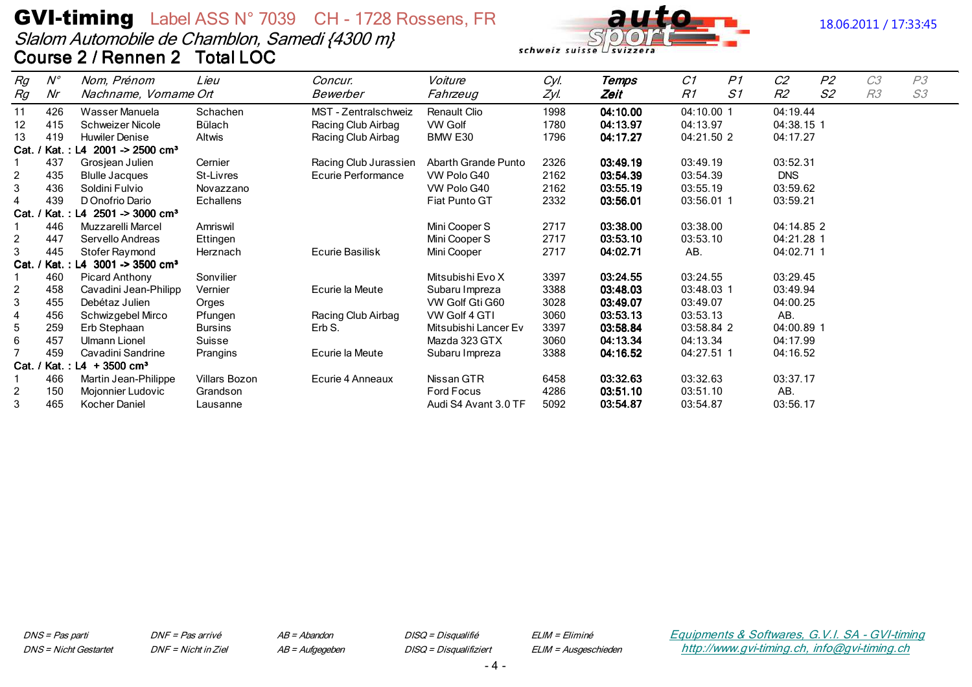# **GVI-timing** Label ASS N° 7039 CH - 1728 Rossens, FR Slalom Automobile de Chamblon, Samedi {4300 m} Course 2 / Rennen 2 Total LOC



#### 18.06.2011 / 17:33:45

| Rg             | $N^{\circ}$ | Nom, Prénom                                  | Lieu           | Concur.               | Voiture              | Cyl. | Temps    | C1         | P <sub>1</sub> | C <sub>2</sub> | P <sub>2</sub> | C <sub>3</sub> | P3 |
|----------------|-------------|----------------------------------------------|----------------|-----------------------|----------------------|------|----------|------------|----------------|----------------|----------------|----------------|----|
| Rg             | Nr          | Nachname, Vorname Ort                        |                | Bewerber              | Fahrzeug             | Zyl. | Zeit     | R1         | S1             | R2             | S <sub>2</sub> | R <sub>3</sub> | S3 |
| 11             | 426         | Wasser Manuela                               | Schachen       | MST - Zentralschweiz  | Renault Clio         | 1998 | 04:10.00 | 04:10.00 1 |                | 04:19.44       |                |                |    |
| 12             | 415         | Schweizer Nicole                             | <b>Bülach</b>  | Racing Club Airbag    | VW Golf              | 1780 | 04:13.97 | 04:13.97   |                | 04:38.15 1     |                |                |    |
| 13             | 419         | <b>Huwiler Denise</b>                        | <b>Altwis</b>  | Racing Club Airbag    | BMW E30              | 1796 | 04:17.27 | 04:21.50 2 |                | 04:17.27       |                |                |    |
|                |             | Cat. / Kat.: L4 2001 -> 2500 cm <sup>3</sup> |                |                       |                      |      |          |            |                |                |                |                |    |
|                | 437         | Grosjean Julien                              | Cernier        | Racing Club Jurassien | Abarth Grande Punto  | 2326 | 03:49.19 | 03:49.19   |                | 03:52.31       |                |                |    |
| $\overline{c}$ | 435         | <b>Blulle Jacques</b>                        | St-Livres      | Ecurie Performance    | VW Polo G40          | 2162 | 03:54.39 | 03:54.39   |                | <b>DNS</b>     |                |                |    |
| 3              | 436         | Soldini Fulvio                               | Novazzano      |                       | VW Polo G40          | 2162 | 03:55.19 | 03:55.19   |                | 03:59.62       |                |                |    |
|                | 439         | D Onofrio Dario                              | Echallens      |                       | Fiat Punto GT        | 2332 | 03:56.01 | 03:56.01 1 |                | 03:59.21       |                |                |    |
|                |             | Cat. / Kat.: L4 2501 -> 3000 cm <sup>3</sup> |                |                       |                      |      |          |            |                |                |                |                |    |
|                | 446         | Muzzarelli Marcel                            | Amriswil       |                       | Mini Cooper S        | 2717 | 03:38.00 | 03:38.00   |                | 04:14.85 2     |                |                |    |
| $\overline{c}$ | 447         | Servello Andreas                             | Ettingen       |                       | Mini Cooper S        | 2717 | 03:53.10 | 03:53.10   |                | 04:21.28 1     |                |                |    |
| 3              | 445         | Stofer Raymond                               | Herznach       | Ecurie Basilisk       | Mini Cooper          | 2717 | 04:02.71 | AB.        |                | 04:02.71 1     |                |                |    |
|                |             | Cat. / Kat.: L4 3001 -> 3500 cm <sup>3</sup> |                |                       |                      |      |          |            |                |                |                |                |    |
|                | 460         | <b>Picard Anthony</b>                        | Sonvilier      |                       | Mitsubishi Evo X     | 3397 | 03:24.55 | 03:24.55   |                | 03:29.45       |                |                |    |
| $\overline{c}$ | 458         | Cavadini Jean-Philipp                        | Vernier        | Ecurie la Meute       | Subaru Impreza       | 3388 | 03:48.03 | 03:48.03 1 |                | 03:49.94       |                |                |    |
| 3              | 455         | Debétaz Julien                               | Orges          |                       | VW Golf Gti G60      | 3028 | 03:49.07 | 03:49.07   |                | 04:00.25       |                |                |    |
|                | 456         | Schwizgebel Mirco                            | Pfungen        | Racing Club Airbag    | VW Golf 4 GTI        | 3060 | 03:53.13 | 03:53.13   |                | AB.            |                |                |    |
| 5              | 259         | Erb Stephaan                                 | <b>Bursins</b> | Erb S.                | Mitsubishi Lancer Ev | 3397 | 03:58.84 | 03:58.84 2 |                | 04:00.89 1     |                |                |    |
| 6              | 457         | Ulmann Lionel                                | Suisse         |                       | Mazda 323 GTX        | 3060 | 04:13.34 | 04:13.34   |                | 04:17.99       |                |                |    |
|                | 459         | Cavadini Sandrine                            | Prangins       | Ecurie la Meute       | Subaru Impreza       | 3388 | 04:16.52 | 04:27.51 1 |                | 04:16.52       |                |                |    |
|                |             | Cat. / Kat.: L4 $+3500$ cm <sup>3</sup>      |                |                       |                      |      |          |            |                |                |                |                |    |
|                | 466         | Martin Jean-Philippe                         | Villars Bozon  | Ecurie 4 Anneaux      | Nissan GTR           | 6458 | 03:32.63 | 03:32.63   |                | 03:37.17       |                |                |    |
| $\overline{c}$ | 150         | Mojonnier Ludovic                            | Grandson       |                       | Ford Focus           | 4286 | 03:51.10 | 03:51.10   |                | AB.            |                |                |    |
| 3              | 465         | <b>Kocher Daniel</b>                         | Lausanne       |                       | Audi S4 Avant 3.0 TF | 5092 | 03:54.87 | 03:54.87   |                | 03:56.17       |                |                |    |

DNS = Pas parti **DNS** = Nicht Gestartet DNF = Pas arrivé DNF = Nicht in Ziel  $AB = Abandon$ AB = Aufgegeben DISQ = Disqualifié DISQ = Disqualifiziert ELIM = Eliminé ELIM = Ausgeschieden Equipments & Softwares, G.V.I. SA - GVI-timing http://www.gvi-timing.ch, info@gvi-timing.ch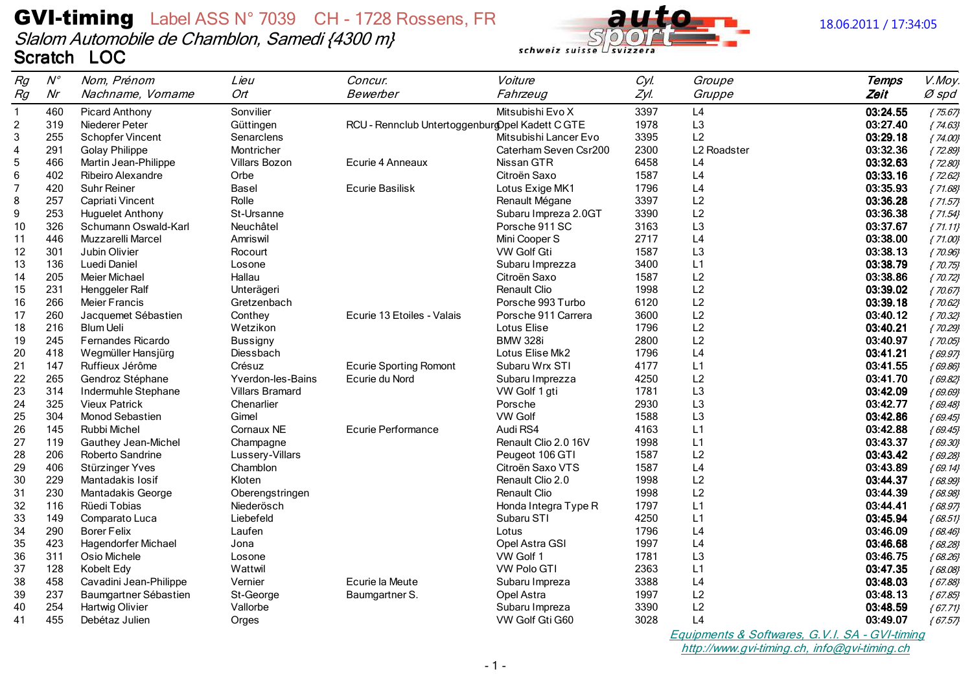### **GVI-timing** Label ASS N° 7039 CH - 1728 Rossens, FR Slalom Automobile de Chamblon, Samedi {4300 m} Scratch LOC



#### 18.06.2011 / 17:34:05

| Nr<br>Ort<br>Rg<br>Nachname, Vorname<br>Bewerber<br>Fahrzeug<br>Zyl.<br>Gruppe<br>Zeit<br>Ø spd<br>3397<br>L4<br>$\mathbf{1}$<br>460<br>Sonvilier<br>Mitsubishi Evo X<br>03:24.55<br><b>Picard Anthony</b><br>${75.67}$<br>$\boldsymbol{2}$<br>319<br>RCU - Rennclub Untertoggenburg Opel Kadett C GTE<br>1978<br>L <sub>3</sub><br>03:27.40<br>Niederer Peter<br>${74.63}$<br>Güttingen<br>3<br>255<br>L <sub>2</sub><br>Schopfer Vincent<br>Mitsubishi Lancer Evo<br>3395<br>03:29.18<br>Senarclens<br>${74.00}$<br>$\overline{\mathbf{4}}$<br>291<br>2300<br>L2 Roadster<br>03:32.36<br><b>Golay Philippe</b><br>Montricher<br>Caterham Seven Csr200<br>${72.89}$<br>$\mathbf 5$<br>466<br>6458<br>03:32.63<br>Villars Bozon<br>Nissan GTR<br>L4<br>Martin Jean-Philippe<br>Ecurie 4 Anneaux<br>${72.80}$<br>$\,6$<br>402<br>Ribeiro Alexandre<br>Citroën Saxo<br>03:33.16<br>Orbe<br>1587<br>L4<br>${72.62}$<br>$\overline{7}$<br>L4<br>420<br>Suhr Reiner<br><b>Ecurie Basilisk</b><br>Lotus Exige MK1<br>1796<br>03:35.93<br>Basel<br>${71.68}$<br>L2<br>8<br>257<br>3397<br>03:36.28<br>Capriati Vincent<br>Rolle<br>Renault Mégane<br>${71.57}$<br>L2<br>9<br>253<br>3390<br>03:36.38<br><b>Huguelet Anthony</b><br>St-Ursanne<br>Subaru Impreza 2.0GT<br>${71.54}$<br>L <sub>3</sub><br>326<br>10<br>Schumann Oswald-Karl<br>Neuchâtel<br>Porsche 911 SC<br>3163<br>03:37.67<br>${71.11}$<br>446<br>2717<br>L4<br>03:38.00<br>Muzzarelli Marcel<br>Amriswil<br>Mini Cooper S<br>11<br>${71.00}$<br>301<br>VW Golf Gti<br>1587<br>L3<br>03:38.13<br>12<br>Jubin Olivier<br>Rocourt<br>${70.96}$<br>L1<br>136<br>Luedi Daniel<br>3400<br>03:38.79<br>13<br>Subaru Imprezza<br>${70.75}$<br>Losone<br>L2<br>205<br>Citroën Saxo<br>1587<br>03:38.86<br>14<br><b>Meier Michael</b><br>Hallau<br>${70.72}$<br>231<br>L2<br>15<br>Renault Clio<br>1998<br>03:39.02<br>Henggeler Ralf<br>Unterägeri<br>${70.67}$<br>266<br>6120<br>L2<br>03:39.18<br>16<br><b>Meier Francis</b><br>Porsche 993 Turbo<br>Gretzenbach<br>${70.62}$<br>260<br>L2<br>Jacquemet Sébastien<br>Conthey<br>Ecurie 13 Etoiles - Valais<br>Porsche 911 Carrera<br>3600<br>03:40.12<br>17<br>${70.32}$<br>L2<br>216<br>Lotus Elise<br>18<br><b>Blum Ueli</b><br>Wetzikon<br>1796<br>03:40.21<br>${70.29}$<br><b>BMW 328i</b><br>L2<br>19<br>245<br><b>Fernandes Ricardo</b><br>2800<br>03:40.97<br><b>Bussigny</b><br>${70.05}$<br>418<br>L4<br>Wegmüller Hansjürg<br>Lotus Elise Mk2<br>1796<br>03:41.21<br>20<br>Diessbach<br>${69.97}$<br>147<br>21<br><b>Ecurie Sporting Romont</b><br>4177<br>L1<br>03:41.55<br>Ruffieux Jérôme<br>Crésuz<br>Subaru Wrx STI<br>${69.86}$<br>22<br>265<br>4250<br>L2<br>Gendroz Stéphane<br>Yverdon-les-Bains<br>Ecurie du Nord<br>03:41.70<br>Subaru Imprezza<br>${69.82}$<br>314<br>1781<br>L3<br>03:42.09<br>23<br>Indermuhle Stephane<br><b>Villars Bramard</b><br>VW Golf 1 gti<br>${69.69}$<br>L <sub>3</sub><br>24<br>325<br><b>Vieux Patrick</b><br>Chenarlier<br>Porsche<br>2930<br>03:42.77<br>${69.48}$<br>L <sub>3</sub><br>25<br>304<br>Monod Sebastien<br><b>VW Golf</b><br>1588<br>03:42.86<br>Gimel<br>${69.45}$<br>145<br><b>Ecurie Performance</b><br>Audi RS4<br>4163<br>L1<br>26<br>Rubbi Michel<br>Cornaux NE<br>03:42.88<br>${69.45}$<br>27<br>119<br>Renault Clio 2.0 16V<br>1998<br>L1<br>Gauthey Jean-Michel<br>03:43.37<br>Champagne<br>${69.30}$<br>206<br>1587<br>L2<br>28<br>Roberto Sandrine<br>Lussery-Villars<br>Peugeot 106 GTI<br>03:43.42<br>${69.28}$<br>406<br>29<br>1587<br>L4<br>03:43.89<br>Stürzinger Yves<br>Chamblon<br>Citroën Saxo VTS<br>${69.14}$<br>229<br>L2<br>30<br>Renault Clio 2.0<br>1998<br>03:44.37<br>Mantadakis losif<br>Kloten<br>${68.99}$<br>L2<br>31<br>230<br><b>Renault Clio</b><br>1998<br>03:44.39<br>Mantadakis George<br>Oberengstringen<br>${68.98}$<br>116<br>L1<br>32<br>Rüedi Tobias<br>Niederösch<br>Honda Integra Type R<br>1797<br>03:44.41<br>${68.97}$<br>33<br>149<br>4250<br>L1<br>03:45.94<br>Comparato Luca<br>Liebefeld<br>Subaru STI<br>${68.51}$<br>34<br>290<br><b>Borer Felix</b><br>Laufen<br>Lotus<br>1796<br>L4<br>03:46.09<br>${68.46}$<br>423<br>1997<br>L4<br>35<br><b>Hagendorfer Michael</b><br>Opel Astra GSI<br>03:46.68<br>Jona<br>${68.28}$<br>311<br>1781<br>L3<br>36<br>Osio Michele<br>VW Golf 1<br>03:46.75<br>Losone<br>${68.26}$<br>Kobelt Edy<br>37<br>128<br>Wattwil<br><b>VW Polo GTI</b><br>2363<br>L1<br>03:47.35<br>${68.08}$<br>458<br>L4<br>38<br>Cavadini Jean-Philippe<br>Vernier<br>Ecurie la Meute<br>3388<br>Subaru Impreza<br>03:48.03<br>${67.88}$<br>237<br>39<br>1997<br>L2<br>Baumgartner Sébastien<br>St-George<br>Opel Astra<br>03:48.13<br>Baumgartner S.<br>${67.85}$<br>L2<br>40<br>254<br><b>Hartwig Olivier</b><br>3390<br>03:48.59<br>Vallorbe<br>Subaru Impreza<br>${67.71}$<br>455<br>L4<br>3028<br>41<br>Debétaz Julien<br>VW Golf Gti G60<br>Orges<br>03:49.07<br>${67.57}$ | Rg | $N^{\circ}$ | Nom, Prénom | Lieu | Concur. | Voiture | Cyl. | Groupe | <b>Temps</b> | V.Moy. |
|------------------------------------------------------------------------------------------------------------------------------------------------------------------------------------------------------------------------------------------------------------------------------------------------------------------------------------------------------------------------------------------------------------------------------------------------------------------------------------------------------------------------------------------------------------------------------------------------------------------------------------------------------------------------------------------------------------------------------------------------------------------------------------------------------------------------------------------------------------------------------------------------------------------------------------------------------------------------------------------------------------------------------------------------------------------------------------------------------------------------------------------------------------------------------------------------------------------------------------------------------------------------------------------------------------------------------------------------------------------------------------------------------------------------------------------------------------------------------------------------------------------------------------------------------------------------------------------------------------------------------------------------------------------------------------------------------------------------------------------------------------------------------------------------------------------------------------------------------------------------------------------------------------------------------------------------------------------------------------------------------------------------------------------------------------------------------------------------------------------------------------------------------------------------------------------------------------------------------------------------------------------------------------------------------------------------------------------------------------------------------------------------------------------------------------------------------------------------------------------------------------------------------------------------------------------------------------------------------------------------------------------------------------------------------------------------------------------------------------------------------------------------------------------------------------------------------------------------------------------------------------------------------------------------------------------------------------------------------------------------------------------------------------------------------------------------------------------------------------------------------------------------------------------------------------------------------------------------------------------------------------------------------------------------------------------------------------------------------------------------------------------------------------------------------------------------------------------------------------------------------------------------------------------------------------------------------------------------------------------------------------------------------------------------------------------------------------------------------------------------------------------------------------------------------------------------------------------------------------------------------------------------------------------------------------------------------------------------------------------------------------------------------------------------------------------------------------------------------------------------------------------------------------------------------------------------------------------------------------------------------------------------------------------------------------------------------------------------------------------------------------------------------------------------------------------------------------------------------------------------------------------------------------------------------------------------------------------------------------------------------------------------------------------------------------------------------------------------------------------------------------------------------------------------------------------------------------------------------------------------------------------------------------------------------|----|-------------|-------------|------|---------|---------|------|--------|--------------|--------|
|                                                                                                                                                                                                                                                                                                                                                                                                                                                                                                                                                                                                                                                                                                                                                                                                                                                                                                                                                                                                                                                                                                                                                                                                                                                                                                                                                                                                                                                                                                                                                                                                                                                                                                                                                                                                                                                                                                                                                                                                                                                                                                                                                                                                                                                                                                                                                                                                                                                                                                                                                                                                                                                                                                                                                                                                                                                                                                                                                                                                                                                                                                                                                                                                                                                                                                                                                                                                                                                                                                                                                                                                                                                                                                                                                                                                                                                                                                                                                                                                                                                                                                                                                                                                                                                                                                                                                                                                                                                                                                                                                                                                                                                                                                                                                                                                                                                                                                                              |    |             |             |      |         |         |      |        |              |        |
|                                                                                                                                                                                                                                                                                                                                                                                                                                                                                                                                                                                                                                                                                                                                                                                                                                                                                                                                                                                                                                                                                                                                                                                                                                                                                                                                                                                                                                                                                                                                                                                                                                                                                                                                                                                                                                                                                                                                                                                                                                                                                                                                                                                                                                                                                                                                                                                                                                                                                                                                                                                                                                                                                                                                                                                                                                                                                                                                                                                                                                                                                                                                                                                                                                                                                                                                                                                                                                                                                                                                                                                                                                                                                                                                                                                                                                                                                                                                                                                                                                                                                                                                                                                                                                                                                                                                                                                                                                                                                                                                                                                                                                                                                                                                                                                                                                                                                                                              |    |             |             |      |         |         |      |        |              |        |
|                                                                                                                                                                                                                                                                                                                                                                                                                                                                                                                                                                                                                                                                                                                                                                                                                                                                                                                                                                                                                                                                                                                                                                                                                                                                                                                                                                                                                                                                                                                                                                                                                                                                                                                                                                                                                                                                                                                                                                                                                                                                                                                                                                                                                                                                                                                                                                                                                                                                                                                                                                                                                                                                                                                                                                                                                                                                                                                                                                                                                                                                                                                                                                                                                                                                                                                                                                                                                                                                                                                                                                                                                                                                                                                                                                                                                                                                                                                                                                                                                                                                                                                                                                                                                                                                                                                                                                                                                                                                                                                                                                                                                                                                                                                                                                                                                                                                                                                              |    |             |             |      |         |         |      |        |              |        |
|                                                                                                                                                                                                                                                                                                                                                                                                                                                                                                                                                                                                                                                                                                                                                                                                                                                                                                                                                                                                                                                                                                                                                                                                                                                                                                                                                                                                                                                                                                                                                                                                                                                                                                                                                                                                                                                                                                                                                                                                                                                                                                                                                                                                                                                                                                                                                                                                                                                                                                                                                                                                                                                                                                                                                                                                                                                                                                                                                                                                                                                                                                                                                                                                                                                                                                                                                                                                                                                                                                                                                                                                                                                                                                                                                                                                                                                                                                                                                                                                                                                                                                                                                                                                                                                                                                                                                                                                                                                                                                                                                                                                                                                                                                                                                                                                                                                                                                                              |    |             |             |      |         |         |      |        |              |        |
|                                                                                                                                                                                                                                                                                                                                                                                                                                                                                                                                                                                                                                                                                                                                                                                                                                                                                                                                                                                                                                                                                                                                                                                                                                                                                                                                                                                                                                                                                                                                                                                                                                                                                                                                                                                                                                                                                                                                                                                                                                                                                                                                                                                                                                                                                                                                                                                                                                                                                                                                                                                                                                                                                                                                                                                                                                                                                                                                                                                                                                                                                                                                                                                                                                                                                                                                                                                                                                                                                                                                                                                                                                                                                                                                                                                                                                                                                                                                                                                                                                                                                                                                                                                                                                                                                                                                                                                                                                                                                                                                                                                                                                                                                                                                                                                                                                                                                                                              |    |             |             |      |         |         |      |        |              |        |
|                                                                                                                                                                                                                                                                                                                                                                                                                                                                                                                                                                                                                                                                                                                                                                                                                                                                                                                                                                                                                                                                                                                                                                                                                                                                                                                                                                                                                                                                                                                                                                                                                                                                                                                                                                                                                                                                                                                                                                                                                                                                                                                                                                                                                                                                                                                                                                                                                                                                                                                                                                                                                                                                                                                                                                                                                                                                                                                                                                                                                                                                                                                                                                                                                                                                                                                                                                                                                                                                                                                                                                                                                                                                                                                                                                                                                                                                                                                                                                                                                                                                                                                                                                                                                                                                                                                                                                                                                                                                                                                                                                                                                                                                                                                                                                                                                                                                                                                              |    |             |             |      |         |         |      |        |              |        |
|                                                                                                                                                                                                                                                                                                                                                                                                                                                                                                                                                                                                                                                                                                                                                                                                                                                                                                                                                                                                                                                                                                                                                                                                                                                                                                                                                                                                                                                                                                                                                                                                                                                                                                                                                                                                                                                                                                                                                                                                                                                                                                                                                                                                                                                                                                                                                                                                                                                                                                                                                                                                                                                                                                                                                                                                                                                                                                                                                                                                                                                                                                                                                                                                                                                                                                                                                                                                                                                                                                                                                                                                                                                                                                                                                                                                                                                                                                                                                                                                                                                                                                                                                                                                                                                                                                                                                                                                                                                                                                                                                                                                                                                                                                                                                                                                                                                                                                                              |    |             |             |      |         |         |      |        |              |        |
|                                                                                                                                                                                                                                                                                                                                                                                                                                                                                                                                                                                                                                                                                                                                                                                                                                                                                                                                                                                                                                                                                                                                                                                                                                                                                                                                                                                                                                                                                                                                                                                                                                                                                                                                                                                                                                                                                                                                                                                                                                                                                                                                                                                                                                                                                                                                                                                                                                                                                                                                                                                                                                                                                                                                                                                                                                                                                                                                                                                                                                                                                                                                                                                                                                                                                                                                                                                                                                                                                                                                                                                                                                                                                                                                                                                                                                                                                                                                                                                                                                                                                                                                                                                                                                                                                                                                                                                                                                                                                                                                                                                                                                                                                                                                                                                                                                                                                                                              |    |             |             |      |         |         |      |        |              |        |
|                                                                                                                                                                                                                                                                                                                                                                                                                                                                                                                                                                                                                                                                                                                                                                                                                                                                                                                                                                                                                                                                                                                                                                                                                                                                                                                                                                                                                                                                                                                                                                                                                                                                                                                                                                                                                                                                                                                                                                                                                                                                                                                                                                                                                                                                                                                                                                                                                                                                                                                                                                                                                                                                                                                                                                                                                                                                                                                                                                                                                                                                                                                                                                                                                                                                                                                                                                                                                                                                                                                                                                                                                                                                                                                                                                                                                                                                                                                                                                                                                                                                                                                                                                                                                                                                                                                                                                                                                                                                                                                                                                                                                                                                                                                                                                                                                                                                                                                              |    |             |             |      |         |         |      |        |              |        |
|                                                                                                                                                                                                                                                                                                                                                                                                                                                                                                                                                                                                                                                                                                                                                                                                                                                                                                                                                                                                                                                                                                                                                                                                                                                                                                                                                                                                                                                                                                                                                                                                                                                                                                                                                                                                                                                                                                                                                                                                                                                                                                                                                                                                                                                                                                                                                                                                                                                                                                                                                                                                                                                                                                                                                                                                                                                                                                                                                                                                                                                                                                                                                                                                                                                                                                                                                                                                                                                                                                                                                                                                                                                                                                                                                                                                                                                                                                                                                                                                                                                                                                                                                                                                                                                                                                                                                                                                                                                                                                                                                                                                                                                                                                                                                                                                                                                                                                                              |    |             |             |      |         |         |      |        |              |        |
|                                                                                                                                                                                                                                                                                                                                                                                                                                                                                                                                                                                                                                                                                                                                                                                                                                                                                                                                                                                                                                                                                                                                                                                                                                                                                                                                                                                                                                                                                                                                                                                                                                                                                                                                                                                                                                                                                                                                                                                                                                                                                                                                                                                                                                                                                                                                                                                                                                                                                                                                                                                                                                                                                                                                                                                                                                                                                                                                                                                                                                                                                                                                                                                                                                                                                                                                                                                                                                                                                                                                                                                                                                                                                                                                                                                                                                                                                                                                                                                                                                                                                                                                                                                                                                                                                                                                                                                                                                                                                                                                                                                                                                                                                                                                                                                                                                                                                                                              |    |             |             |      |         |         |      |        |              |        |
|                                                                                                                                                                                                                                                                                                                                                                                                                                                                                                                                                                                                                                                                                                                                                                                                                                                                                                                                                                                                                                                                                                                                                                                                                                                                                                                                                                                                                                                                                                                                                                                                                                                                                                                                                                                                                                                                                                                                                                                                                                                                                                                                                                                                                                                                                                                                                                                                                                                                                                                                                                                                                                                                                                                                                                                                                                                                                                                                                                                                                                                                                                                                                                                                                                                                                                                                                                                                                                                                                                                                                                                                                                                                                                                                                                                                                                                                                                                                                                                                                                                                                                                                                                                                                                                                                                                                                                                                                                                                                                                                                                                                                                                                                                                                                                                                                                                                                                                              |    |             |             |      |         |         |      |        |              |        |
|                                                                                                                                                                                                                                                                                                                                                                                                                                                                                                                                                                                                                                                                                                                                                                                                                                                                                                                                                                                                                                                                                                                                                                                                                                                                                                                                                                                                                                                                                                                                                                                                                                                                                                                                                                                                                                                                                                                                                                                                                                                                                                                                                                                                                                                                                                                                                                                                                                                                                                                                                                                                                                                                                                                                                                                                                                                                                                                                                                                                                                                                                                                                                                                                                                                                                                                                                                                                                                                                                                                                                                                                                                                                                                                                                                                                                                                                                                                                                                                                                                                                                                                                                                                                                                                                                                                                                                                                                                                                                                                                                                                                                                                                                                                                                                                                                                                                                                                              |    |             |             |      |         |         |      |        |              |        |
|                                                                                                                                                                                                                                                                                                                                                                                                                                                                                                                                                                                                                                                                                                                                                                                                                                                                                                                                                                                                                                                                                                                                                                                                                                                                                                                                                                                                                                                                                                                                                                                                                                                                                                                                                                                                                                                                                                                                                                                                                                                                                                                                                                                                                                                                                                                                                                                                                                                                                                                                                                                                                                                                                                                                                                                                                                                                                                                                                                                                                                                                                                                                                                                                                                                                                                                                                                                                                                                                                                                                                                                                                                                                                                                                                                                                                                                                                                                                                                                                                                                                                                                                                                                                                                                                                                                                                                                                                                                                                                                                                                                                                                                                                                                                                                                                                                                                                                                              |    |             |             |      |         |         |      |        |              |        |
|                                                                                                                                                                                                                                                                                                                                                                                                                                                                                                                                                                                                                                                                                                                                                                                                                                                                                                                                                                                                                                                                                                                                                                                                                                                                                                                                                                                                                                                                                                                                                                                                                                                                                                                                                                                                                                                                                                                                                                                                                                                                                                                                                                                                                                                                                                                                                                                                                                                                                                                                                                                                                                                                                                                                                                                                                                                                                                                                                                                                                                                                                                                                                                                                                                                                                                                                                                                                                                                                                                                                                                                                                                                                                                                                                                                                                                                                                                                                                                                                                                                                                                                                                                                                                                                                                                                                                                                                                                                                                                                                                                                                                                                                                                                                                                                                                                                                                                                              |    |             |             |      |         |         |      |        |              |        |
|                                                                                                                                                                                                                                                                                                                                                                                                                                                                                                                                                                                                                                                                                                                                                                                                                                                                                                                                                                                                                                                                                                                                                                                                                                                                                                                                                                                                                                                                                                                                                                                                                                                                                                                                                                                                                                                                                                                                                                                                                                                                                                                                                                                                                                                                                                                                                                                                                                                                                                                                                                                                                                                                                                                                                                                                                                                                                                                                                                                                                                                                                                                                                                                                                                                                                                                                                                                                                                                                                                                                                                                                                                                                                                                                                                                                                                                                                                                                                                                                                                                                                                                                                                                                                                                                                                                                                                                                                                                                                                                                                                                                                                                                                                                                                                                                                                                                                                                              |    |             |             |      |         |         |      |        |              |        |
|                                                                                                                                                                                                                                                                                                                                                                                                                                                                                                                                                                                                                                                                                                                                                                                                                                                                                                                                                                                                                                                                                                                                                                                                                                                                                                                                                                                                                                                                                                                                                                                                                                                                                                                                                                                                                                                                                                                                                                                                                                                                                                                                                                                                                                                                                                                                                                                                                                                                                                                                                                                                                                                                                                                                                                                                                                                                                                                                                                                                                                                                                                                                                                                                                                                                                                                                                                                                                                                                                                                                                                                                                                                                                                                                                                                                                                                                                                                                                                                                                                                                                                                                                                                                                                                                                                                                                                                                                                                                                                                                                                                                                                                                                                                                                                                                                                                                                                                              |    |             |             |      |         |         |      |        |              |        |
|                                                                                                                                                                                                                                                                                                                                                                                                                                                                                                                                                                                                                                                                                                                                                                                                                                                                                                                                                                                                                                                                                                                                                                                                                                                                                                                                                                                                                                                                                                                                                                                                                                                                                                                                                                                                                                                                                                                                                                                                                                                                                                                                                                                                                                                                                                                                                                                                                                                                                                                                                                                                                                                                                                                                                                                                                                                                                                                                                                                                                                                                                                                                                                                                                                                                                                                                                                                                                                                                                                                                                                                                                                                                                                                                                                                                                                                                                                                                                                                                                                                                                                                                                                                                                                                                                                                                                                                                                                                                                                                                                                                                                                                                                                                                                                                                                                                                                                                              |    |             |             |      |         |         |      |        |              |        |
|                                                                                                                                                                                                                                                                                                                                                                                                                                                                                                                                                                                                                                                                                                                                                                                                                                                                                                                                                                                                                                                                                                                                                                                                                                                                                                                                                                                                                                                                                                                                                                                                                                                                                                                                                                                                                                                                                                                                                                                                                                                                                                                                                                                                                                                                                                                                                                                                                                                                                                                                                                                                                                                                                                                                                                                                                                                                                                                                                                                                                                                                                                                                                                                                                                                                                                                                                                                                                                                                                                                                                                                                                                                                                                                                                                                                                                                                                                                                                                                                                                                                                                                                                                                                                                                                                                                                                                                                                                                                                                                                                                                                                                                                                                                                                                                                                                                                                                                              |    |             |             |      |         |         |      |        |              |        |
|                                                                                                                                                                                                                                                                                                                                                                                                                                                                                                                                                                                                                                                                                                                                                                                                                                                                                                                                                                                                                                                                                                                                                                                                                                                                                                                                                                                                                                                                                                                                                                                                                                                                                                                                                                                                                                                                                                                                                                                                                                                                                                                                                                                                                                                                                                                                                                                                                                                                                                                                                                                                                                                                                                                                                                                                                                                                                                                                                                                                                                                                                                                                                                                                                                                                                                                                                                                                                                                                                                                                                                                                                                                                                                                                                                                                                                                                                                                                                                                                                                                                                                                                                                                                                                                                                                                                                                                                                                                                                                                                                                                                                                                                                                                                                                                                                                                                                                                              |    |             |             |      |         |         |      |        |              |        |
|                                                                                                                                                                                                                                                                                                                                                                                                                                                                                                                                                                                                                                                                                                                                                                                                                                                                                                                                                                                                                                                                                                                                                                                                                                                                                                                                                                                                                                                                                                                                                                                                                                                                                                                                                                                                                                                                                                                                                                                                                                                                                                                                                                                                                                                                                                                                                                                                                                                                                                                                                                                                                                                                                                                                                                                                                                                                                                                                                                                                                                                                                                                                                                                                                                                                                                                                                                                                                                                                                                                                                                                                                                                                                                                                                                                                                                                                                                                                                                                                                                                                                                                                                                                                                                                                                                                                                                                                                                                                                                                                                                                                                                                                                                                                                                                                                                                                                                                              |    |             |             |      |         |         |      |        |              |        |
|                                                                                                                                                                                                                                                                                                                                                                                                                                                                                                                                                                                                                                                                                                                                                                                                                                                                                                                                                                                                                                                                                                                                                                                                                                                                                                                                                                                                                                                                                                                                                                                                                                                                                                                                                                                                                                                                                                                                                                                                                                                                                                                                                                                                                                                                                                                                                                                                                                                                                                                                                                                                                                                                                                                                                                                                                                                                                                                                                                                                                                                                                                                                                                                                                                                                                                                                                                                                                                                                                                                                                                                                                                                                                                                                                                                                                                                                                                                                                                                                                                                                                                                                                                                                                                                                                                                                                                                                                                                                                                                                                                                                                                                                                                                                                                                                                                                                                                                              |    |             |             |      |         |         |      |        |              |        |
|                                                                                                                                                                                                                                                                                                                                                                                                                                                                                                                                                                                                                                                                                                                                                                                                                                                                                                                                                                                                                                                                                                                                                                                                                                                                                                                                                                                                                                                                                                                                                                                                                                                                                                                                                                                                                                                                                                                                                                                                                                                                                                                                                                                                                                                                                                                                                                                                                                                                                                                                                                                                                                                                                                                                                                                                                                                                                                                                                                                                                                                                                                                                                                                                                                                                                                                                                                                                                                                                                                                                                                                                                                                                                                                                                                                                                                                                                                                                                                                                                                                                                                                                                                                                                                                                                                                                                                                                                                                                                                                                                                                                                                                                                                                                                                                                                                                                                                                              |    |             |             |      |         |         |      |        |              |        |
|                                                                                                                                                                                                                                                                                                                                                                                                                                                                                                                                                                                                                                                                                                                                                                                                                                                                                                                                                                                                                                                                                                                                                                                                                                                                                                                                                                                                                                                                                                                                                                                                                                                                                                                                                                                                                                                                                                                                                                                                                                                                                                                                                                                                                                                                                                                                                                                                                                                                                                                                                                                                                                                                                                                                                                                                                                                                                                                                                                                                                                                                                                                                                                                                                                                                                                                                                                                                                                                                                                                                                                                                                                                                                                                                                                                                                                                                                                                                                                                                                                                                                                                                                                                                                                                                                                                                                                                                                                                                                                                                                                                                                                                                                                                                                                                                                                                                                                                              |    |             |             |      |         |         |      |        |              |        |
|                                                                                                                                                                                                                                                                                                                                                                                                                                                                                                                                                                                                                                                                                                                                                                                                                                                                                                                                                                                                                                                                                                                                                                                                                                                                                                                                                                                                                                                                                                                                                                                                                                                                                                                                                                                                                                                                                                                                                                                                                                                                                                                                                                                                                                                                                                                                                                                                                                                                                                                                                                                                                                                                                                                                                                                                                                                                                                                                                                                                                                                                                                                                                                                                                                                                                                                                                                                                                                                                                                                                                                                                                                                                                                                                                                                                                                                                                                                                                                                                                                                                                                                                                                                                                                                                                                                                                                                                                                                                                                                                                                                                                                                                                                                                                                                                                                                                                                                              |    |             |             |      |         |         |      |        |              |        |
|                                                                                                                                                                                                                                                                                                                                                                                                                                                                                                                                                                                                                                                                                                                                                                                                                                                                                                                                                                                                                                                                                                                                                                                                                                                                                                                                                                                                                                                                                                                                                                                                                                                                                                                                                                                                                                                                                                                                                                                                                                                                                                                                                                                                                                                                                                                                                                                                                                                                                                                                                                                                                                                                                                                                                                                                                                                                                                                                                                                                                                                                                                                                                                                                                                                                                                                                                                                                                                                                                                                                                                                                                                                                                                                                                                                                                                                                                                                                                                                                                                                                                                                                                                                                                                                                                                                                                                                                                                                                                                                                                                                                                                                                                                                                                                                                                                                                                                                              |    |             |             |      |         |         |      |        |              |        |
|                                                                                                                                                                                                                                                                                                                                                                                                                                                                                                                                                                                                                                                                                                                                                                                                                                                                                                                                                                                                                                                                                                                                                                                                                                                                                                                                                                                                                                                                                                                                                                                                                                                                                                                                                                                                                                                                                                                                                                                                                                                                                                                                                                                                                                                                                                                                                                                                                                                                                                                                                                                                                                                                                                                                                                                                                                                                                                                                                                                                                                                                                                                                                                                                                                                                                                                                                                                                                                                                                                                                                                                                                                                                                                                                                                                                                                                                                                                                                                                                                                                                                                                                                                                                                                                                                                                                                                                                                                                                                                                                                                                                                                                                                                                                                                                                                                                                                                                              |    |             |             |      |         |         |      |        |              |        |
|                                                                                                                                                                                                                                                                                                                                                                                                                                                                                                                                                                                                                                                                                                                                                                                                                                                                                                                                                                                                                                                                                                                                                                                                                                                                                                                                                                                                                                                                                                                                                                                                                                                                                                                                                                                                                                                                                                                                                                                                                                                                                                                                                                                                                                                                                                                                                                                                                                                                                                                                                                                                                                                                                                                                                                                                                                                                                                                                                                                                                                                                                                                                                                                                                                                                                                                                                                                                                                                                                                                                                                                                                                                                                                                                                                                                                                                                                                                                                                                                                                                                                                                                                                                                                                                                                                                                                                                                                                                                                                                                                                                                                                                                                                                                                                                                                                                                                                                              |    |             |             |      |         |         |      |        |              |        |
|                                                                                                                                                                                                                                                                                                                                                                                                                                                                                                                                                                                                                                                                                                                                                                                                                                                                                                                                                                                                                                                                                                                                                                                                                                                                                                                                                                                                                                                                                                                                                                                                                                                                                                                                                                                                                                                                                                                                                                                                                                                                                                                                                                                                                                                                                                                                                                                                                                                                                                                                                                                                                                                                                                                                                                                                                                                                                                                                                                                                                                                                                                                                                                                                                                                                                                                                                                                                                                                                                                                                                                                                                                                                                                                                                                                                                                                                                                                                                                                                                                                                                                                                                                                                                                                                                                                                                                                                                                                                                                                                                                                                                                                                                                                                                                                                                                                                                                                              |    |             |             |      |         |         |      |        |              |        |
|                                                                                                                                                                                                                                                                                                                                                                                                                                                                                                                                                                                                                                                                                                                                                                                                                                                                                                                                                                                                                                                                                                                                                                                                                                                                                                                                                                                                                                                                                                                                                                                                                                                                                                                                                                                                                                                                                                                                                                                                                                                                                                                                                                                                                                                                                                                                                                                                                                                                                                                                                                                                                                                                                                                                                                                                                                                                                                                                                                                                                                                                                                                                                                                                                                                                                                                                                                                                                                                                                                                                                                                                                                                                                                                                                                                                                                                                                                                                                                                                                                                                                                                                                                                                                                                                                                                                                                                                                                                                                                                                                                                                                                                                                                                                                                                                                                                                                                                              |    |             |             |      |         |         |      |        |              |        |
|                                                                                                                                                                                                                                                                                                                                                                                                                                                                                                                                                                                                                                                                                                                                                                                                                                                                                                                                                                                                                                                                                                                                                                                                                                                                                                                                                                                                                                                                                                                                                                                                                                                                                                                                                                                                                                                                                                                                                                                                                                                                                                                                                                                                                                                                                                                                                                                                                                                                                                                                                                                                                                                                                                                                                                                                                                                                                                                                                                                                                                                                                                                                                                                                                                                                                                                                                                                                                                                                                                                                                                                                                                                                                                                                                                                                                                                                                                                                                                                                                                                                                                                                                                                                                                                                                                                                                                                                                                                                                                                                                                                                                                                                                                                                                                                                                                                                                                                              |    |             |             |      |         |         |      |        |              |        |
|                                                                                                                                                                                                                                                                                                                                                                                                                                                                                                                                                                                                                                                                                                                                                                                                                                                                                                                                                                                                                                                                                                                                                                                                                                                                                                                                                                                                                                                                                                                                                                                                                                                                                                                                                                                                                                                                                                                                                                                                                                                                                                                                                                                                                                                                                                                                                                                                                                                                                                                                                                                                                                                                                                                                                                                                                                                                                                                                                                                                                                                                                                                                                                                                                                                                                                                                                                                                                                                                                                                                                                                                                                                                                                                                                                                                                                                                                                                                                                                                                                                                                                                                                                                                                                                                                                                                                                                                                                                                                                                                                                                                                                                                                                                                                                                                                                                                                                                              |    |             |             |      |         |         |      |        |              |        |
|                                                                                                                                                                                                                                                                                                                                                                                                                                                                                                                                                                                                                                                                                                                                                                                                                                                                                                                                                                                                                                                                                                                                                                                                                                                                                                                                                                                                                                                                                                                                                                                                                                                                                                                                                                                                                                                                                                                                                                                                                                                                                                                                                                                                                                                                                                                                                                                                                                                                                                                                                                                                                                                                                                                                                                                                                                                                                                                                                                                                                                                                                                                                                                                                                                                                                                                                                                                                                                                                                                                                                                                                                                                                                                                                                                                                                                                                                                                                                                                                                                                                                                                                                                                                                                                                                                                                                                                                                                                                                                                                                                                                                                                                                                                                                                                                                                                                                                                              |    |             |             |      |         |         |      |        |              |        |
|                                                                                                                                                                                                                                                                                                                                                                                                                                                                                                                                                                                                                                                                                                                                                                                                                                                                                                                                                                                                                                                                                                                                                                                                                                                                                                                                                                                                                                                                                                                                                                                                                                                                                                                                                                                                                                                                                                                                                                                                                                                                                                                                                                                                                                                                                                                                                                                                                                                                                                                                                                                                                                                                                                                                                                                                                                                                                                                                                                                                                                                                                                                                                                                                                                                                                                                                                                                                                                                                                                                                                                                                                                                                                                                                                                                                                                                                                                                                                                                                                                                                                                                                                                                                                                                                                                                                                                                                                                                                                                                                                                                                                                                                                                                                                                                                                                                                                                                              |    |             |             |      |         |         |      |        |              |        |
|                                                                                                                                                                                                                                                                                                                                                                                                                                                                                                                                                                                                                                                                                                                                                                                                                                                                                                                                                                                                                                                                                                                                                                                                                                                                                                                                                                                                                                                                                                                                                                                                                                                                                                                                                                                                                                                                                                                                                                                                                                                                                                                                                                                                                                                                                                                                                                                                                                                                                                                                                                                                                                                                                                                                                                                                                                                                                                                                                                                                                                                                                                                                                                                                                                                                                                                                                                                                                                                                                                                                                                                                                                                                                                                                                                                                                                                                                                                                                                                                                                                                                                                                                                                                                                                                                                                                                                                                                                                                                                                                                                                                                                                                                                                                                                                                                                                                                                                              |    |             |             |      |         |         |      |        |              |        |
|                                                                                                                                                                                                                                                                                                                                                                                                                                                                                                                                                                                                                                                                                                                                                                                                                                                                                                                                                                                                                                                                                                                                                                                                                                                                                                                                                                                                                                                                                                                                                                                                                                                                                                                                                                                                                                                                                                                                                                                                                                                                                                                                                                                                                                                                                                                                                                                                                                                                                                                                                                                                                                                                                                                                                                                                                                                                                                                                                                                                                                                                                                                                                                                                                                                                                                                                                                                                                                                                                                                                                                                                                                                                                                                                                                                                                                                                                                                                                                                                                                                                                                                                                                                                                                                                                                                                                                                                                                                                                                                                                                                                                                                                                                                                                                                                                                                                                                                              |    |             |             |      |         |         |      |        |              |        |
|                                                                                                                                                                                                                                                                                                                                                                                                                                                                                                                                                                                                                                                                                                                                                                                                                                                                                                                                                                                                                                                                                                                                                                                                                                                                                                                                                                                                                                                                                                                                                                                                                                                                                                                                                                                                                                                                                                                                                                                                                                                                                                                                                                                                                                                                                                                                                                                                                                                                                                                                                                                                                                                                                                                                                                                                                                                                                                                                                                                                                                                                                                                                                                                                                                                                                                                                                                                                                                                                                                                                                                                                                                                                                                                                                                                                                                                                                                                                                                                                                                                                                                                                                                                                                                                                                                                                                                                                                                                                                                                                                                                                                                                                                                                                                                                                                                                                                                                              |    |             |             |      |         |         |      |        |              |        |
|                                                                                                                                                                                                                                                                                                                                                                                                                                                                                                                                                                                                                                                                                                                                                                                                                                                                                                                                                                                                                                                                                                                                                                                                                                                                                                                                                                                                                                                                                                                                                                                                                                                                                                                                                                                                                                                                                                                                                                                                                                                                                                                                                                                                                                                                                                                                                                                                                                                                                                                                                                                                                                                                                                                                                                                                                                                                                                                                                                                                                                                                                                                                                                                                                                                                                                                                                                                                                                                                                                                                                                                                                                                                                                                                                                                                                                                                                                                                                                                                                                                                                                                                                                                                                                                                                                                                                                                                                                                                                                                                                                                                                                                                                                                                                                                                                                                                                                                              |    |             |             |      |         |         |      |        |              |        |
|                                                                                                                                                                                                                                                                                                                                                                                                                                                                                                                                                                                                                                                                                                                                                                                                                                                                                                                                                                                                                                                                                                                                                                                                                                                                                                                                                                                                                                                                                                                                                                                                                                                                                                                                                                                                                                                                                                                                                                                                                                                                                                                                                                                                                                                                                                                                                                                                                                                                                                                                                                                                                                                                                                                                                                                                                                                                                                                                                                                                                                                                                                                                                                                                                                                                                                                                                                                                                                                                                                                                                                                                                                                                                                                                                                                                                                                                                                                                                                                                                                                                                                                                                                                                                                                                                                                                                                                                                                                                                                                                                                                                                                                                                                                                                                                                                                                                                                                              |    |             |             |      |         |         |      |        |              |        |
|                                                                                                                                                                                                                                                                                                                                                                                                                                                                                                                                                                                                                                                                                                                                                                                                                                                                                                                                                                                                                                                                                                                                                                                                                                                                                                                                                                                                                                                                                                                                                                                                                                                                                                                                                                                                                                                                                                                                                                                                                                                                                                                                                                                                                                                                                                                                                                                                                                                                                                                                                                                                                                                                                                                                                                                                                                                                                                                                                                                                                                                                                                                                                                                                                                                                                                                                                                                                                                                                                                                                                                                                                                                                                                                                                                                                                                                                                                                                                                                                                                                                                                                                                                                                                                                                                                                                                                                                                                                                                                                                                                                                                                                                                                                                                                                                                                                                                                                              |    |             |             |      |         |         |      |        |              |        |
|                                                                                                                                                                                                                                                                                                                                                                                                                                                                                                                                                                                                                                                                                                                                                                                                                                                                                                                                                                                                                                                                                                                                                                                                                                                                                                                                                                                                                                                                                                                                                                                                                                                                                                                                                                                                                                                                                                                                                                                                                                                                                                                                                                                                                                                                                                                                                                                                                                                                                                                                                                                                                                                                                                                                                                                                                                                                                                                                                                                                                                                                                                                                                                                                                                                                                                                                                                                                                                                                                                                                                                                                                                                                                                                                                                                                                                                                                                                                                                                                                                                                                                                                                                                                                                                                                                                                                                                                                                                                                                                                                                                                                                                                                                                                                                                                                                                                                                                              |    |             |             |      |         |         |      |        |              |        |
|                                                                                                                                                                                                                                                                                                                                                                                                                                                                                                                                                                                                                                                                                                                                                                                                                                                                                                                                                                                                                                                                                                                                                                                                                                                                                                                                                                                                                                                                                                                                                                                                                                                                                                                                                                                                                                                                                                                                                                                                                                                                                                                                                                                                                                                                                                                                                                                                                                                                                                                                                                                                                                                                                                                                                                                                                                                                                                                                                                                                                                                                                                                                                                                                                                                                                                                                                                                                                                                                                                                                                                                                                                                                                                                                                                                                                                                                                                                                                                                                                                                                                                                                                                                                                                                                                                                                                                                                                                                                                                                                                                                                                                                                                                                                                                                                                                                                                                                              |    |             |             |      |         |         |      |        |              |        |

Equipments & Softwares, G.V.I. SA - GVI-timing http://www.gvi-timing.ch, info@gvi-timing.ch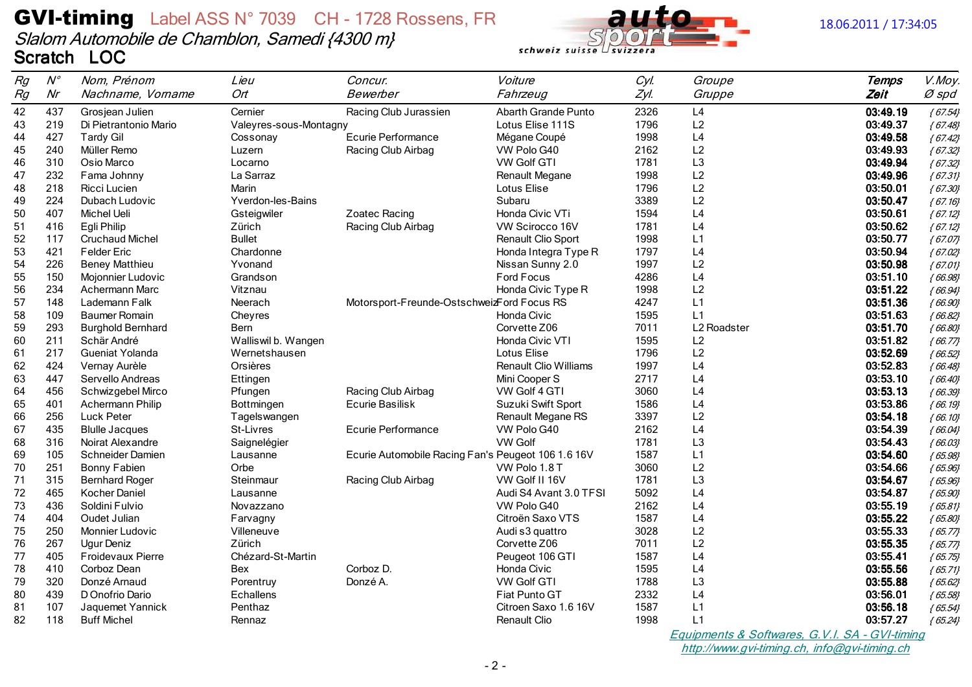## **GVI-timing** Label ASS N° 7039 CH - 1728 Rossens, FR Slalom Automobile de Chamblon, Samedi {4300 m} Scratch LOC



| Rg | $\mathcal{N}^{\circ}$ | Nom, Prénom              | Lieu                   | Concur.                                            | Voiture                      | Cyl. | Groupe                                    | <b>Temps</b> | V.Moy.    |
|----|-----------------------|--------------------------|------------------------|----------------------------------------------------|------------------------------|------|-------------------------------------------|--------------|-----------|
| Rg | Nr                    | Nachname, Vorname        | Ort                    | Bewerber                                           | Fahrzeug                     | Zyl. | Gruppe                                    | Zeit         | Ø spd     |
| 42 | 437                   | Grosjean Julien          | Cernier                | Racing Club Jurassien                              | <b>Abarth Grande Punto</b>   | 2326 | L4                                        | 03:49.19     | ${67.54}$ |
| 43 | 219                   | Di Pietrantonio Mario    | Valeyres-sous-Montagny |                                                    | Lotus Elise 111S             | 1796 | L2                                        | 03:49.37     | ${67.48}$ |
| 44 | 427                   | <b>Tardy Gil</b>         | Cossonay               | Ecurie Performance                                 | Mégane Coupé                 | 1998 | L4                                        | 03:49.58     | ${67.42}$ |
| 45 | 240                   | Müller Remo              | Luzern                 | Racing Club Airbag                                 | VW Polo G40                  | 2162 | L2                                        | 03:49.93     | ${67.32}$ |
| 46 | 310                   | Osio Marco               | Locarno                |                                                    | <b>VW Golf GTI</b>           | 1781 | L <sub>3</sub>                            | 03:49.94     | ${67.32}$ |
| 47 | 232                   | Fama Johnny              | La Sarraz              |                                                    | Renault Megane               | 1998 | L2                                        | 03:49.96     | ${67.31}$ |
| 48 | 218                   | Ricci Lucien             | Marin                  |                                                    | Lotus Elise                  | 1796 | L2                                        | 03:50.01     | ${67.30}$ |
| 49 | 224                   | Dubach Ludovic           | Yverdon-les-Bains      |                                                    | Subaru                       | 3389 | L2                                        | 03:50.47     | ${67.16}$ |
| 50 | 407                   | Michel Ueli              | Gsteigwiler            | Zoatec Racing                                      | Honda Civic VTi              | 1594 | L4                                        | 03:50.61     | ${67.12}$ |
| 51 | 416                   | Egli Philip              | Zürich                 | Racing Club Airbag                                 | VW Scirocco 16V              | 1781 | L4                                        | 03:50.62     | ${67.12}$ |
| 52 | 117                   | <b>Cruchaud Michel</b>   | <b>Bullet</b>          |                                                    | <b>Renault Clio Sport</b>    | 1998 | L1                                        | 03:50.77     | ${6707}$  |
| 53 | 421                   | <b>Felder Eric</b>       | Chardonne              |                                                    | Honda Integra Type R         | 1797 | L4                                        | 03:50.94     | ${67.02}$ |
| 54 | 226                   | <b>Beney Matthieu</b>    | Yvonand                |                                                    | Nissan Sunny 2.0             | 1997 | L2                                        | 03:50.98     | ${67.01}$ |
| 55 | 150                   | Mojonnier Ludovic        | Grandson               |                                                    | Ford Focus                   | 4286 | L4                                        | 03:51.10     | ${66.98}$ |
| 56 | 234                   | <b>Achermann Marc</b>    | Vitznau                |                                                    | Honda Civic Type R           | 1998 | L2                                        | 03:51.22     | ${66.94}$ |
| 57 | 148                   | Lademann Falk            | Neerach                | Motorsport-Freunde-OstschweizFord Focus RS         |                              | 4247 | L1                                        | 03:51.36     | ${66.90}$ |
| 58 | 109                   | <b>Baumer Romain</b>     | Cheyres                |                                                    | Honda Civic                  | 1595 | L1                                        | 03:51.63     | ${66.82}$ |
| 59 | 293                   | <b>Burghold Bernhard</b> | Bern                   |                                                    | Corvette Z06                 | 7011 | L2 Roadster                               | 03:51.70     | ${66.80}$ |
| 60 | 211                   | Schär André              | Walliswil b. Wangen    |                                                    | Honda Civic VTI              | 1595 | L2                                        | 03:51.82     | ${66.77}$ |
| 61 | 217                   | Gueniat Yolanda          | Wernetshausen          |                                                    | Lotus Elise                  | 1796 | L2                                        | 03:52.69     | ${66.52}$ |
| 62 | 424                   | Vernay Aurèle            | Orsières               |                                                    | <b>Renault Clio Williams</b> | 1997 | L4                                        | 03:52.83     | ${66.48}$ |
| 63 | 447                   | Servello Andreas         | Ettingen               |                                                    | Mini Cooper S                | 2717 | L4                                        | 03:53.10     | ${66.40}$ |
| 64 | 456                   | Schwizgebel Mirco        | Pfungen                | Racing Club Airbag                                 | VW Golf 4 GTI                | 3060 | L4                                        | 03:53.13     | ${66.39}$ |
| 65 | 401                   | Achermann Philip         | Bottmingen             | Ecurie Basilisk                                    | Suzuki Swift Sport           | 1586 | L <sub>4</sub>                            | 03:53.86     | ${66.19}$ |
| 66 | 256                   | Luck Peter               | Tagelswangen           |                                                    | Renault Megane RS            | 3397 | L2                                        | 03:54.18     | ${66.10}$ |
| 67 | 435                   | <b>Blulle Jacques</b>    | <b>St-Livres</b>       | Ecurie Performance                                 | VW Polo G40                  | 2162 | L4                                        | 03:54.39     | ${66.04}$ |
| 68 | 316                   | Noirat Alexandre         | Saignelégier           |                                                    | <b>VW Golf</b>               | 1781 | L <sub>3</sub>                            | 03:54.43     | ${66.03}$ |
| 69 | 105                   | Schneider Damien         | Lausanne               | Ecurie Automobile Racing Fan's Peugeot 106 1.6 16V |                              | 1587 | L1                                        | 03:54.60     | ${65.98}$ |
| 70 | 251                   | Bonny Fabien             | Orbe                   |                                                    | VW Polo 1.8 T                | 3060 | L2                                        | 03:54.66     | ${65.96}$ |
| 71 | 315                   | <b>Bernhard Roger</b>    | Steinmaur              | Racing Club Airbag                                 | VW Golf II 16V               | 1781 | L3                                        | 03:54.67     | ${65.96}$ |
| 72 | 465                   | Kocher Daniel            | Lausanne               |                                                    | Audi S4 Avant 3.0 TFSI       | 5092 | L4                                        | 03:54.87     | ${65.90}$ |
| 73 | 436                   | Soldini Fulvio           | Novazzano              |                                                    | VW Polo G40                  | 2162 | L4                                        | 03:55.19     | ${6581}$  |
| 74 | 404                   | Oudet Julian             | Farvagny               |                                                    | Citroën Saxo VTS             | 1587 | L4                                        | 03:55.22     | ${65.80}$ |
| 75 | 250                   | Monnier Ludovic          | Villeneuve             |                                                    | Audi s3 quattro              | 3028 | L2                                        | 03:55.33     | ${65.77}$ |
| 76 | 267                   | Ugur Deniz               | Zürich                 |                                                    | Corvette Z06                 | 7011 | L2                                        | 03:55.35     | ${65.77}$ |
| 77 | 405                   | Froidevaux Pierre        | Chézard-St-Martin      |                                                    | Peugeot 106 GTI              | 1587 | L4                                        | 03:55.41     | ${65.75}$ |
| 78 | 410                   | Corboz Dean              | Bex                    | Corboz D.                                          | Honda Civic                  | 1595 | L4                                        | 03:55.56     | ${65.71}$ |
| 79 | 320                   | Donzé Arnaud             | Porentruy              | Donzé A.                                           | <b>VW Golf GTI</b>           | 1788 | L <sub>3</sub>                            | 03:55.88     | ${65.62}$ |
| 80 | 439                   | D Onofrio Dario          | <b>Echallens</b>       |                                                    | Fiat Punto GT                | 2332 | L <sub>4</sub>                            | 03:56.01     | ${65.58}$ |
| 81 | 107                   | Jaquemet Yannick         | Penthaz                |                                                    | Citroen Saxo 1.6 16V         | 1587 | L1                                        | 03:56.18     | ${65.54}$ |
| 82 | 118                   | <b>Buff Michel</b>       | Rennaz                 |                                                    | Renault Clio                 | 1998 | L1                                        | 03:57.27     | ${65.24}$ |
|    |                       |                          |                        |                                                    |                              |      | Equipmenta & Settuarea C VI SA CVI timing |              |           |

*Equipments* of -timing http://www.gvi-timing.ch, info@gvi-timing.ch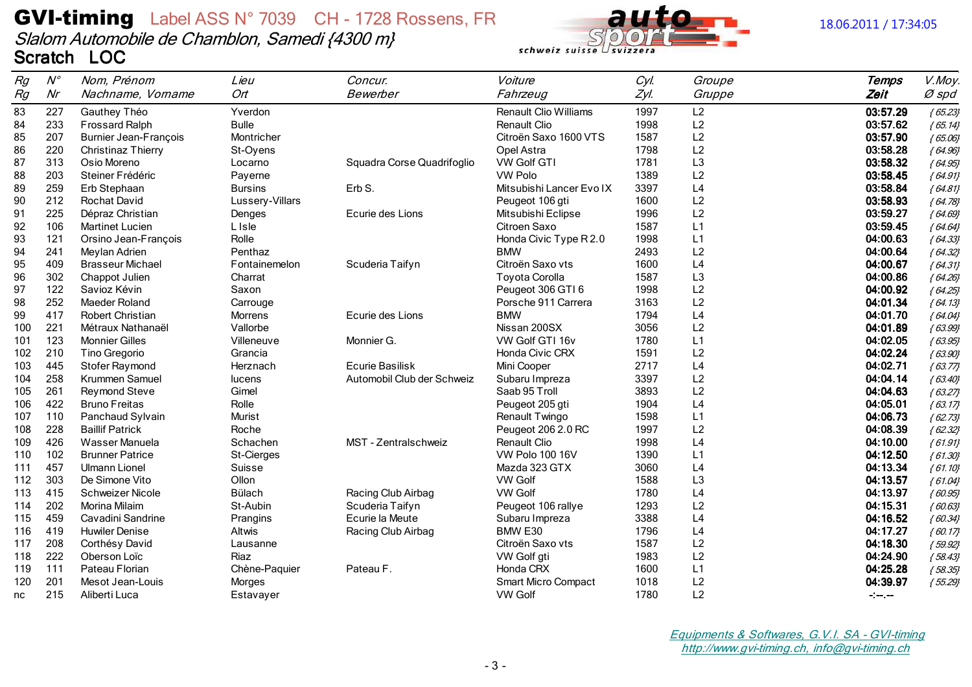## **GVI-timing** Label ASS N° 7039 CH - 1728 Rossens, FR Slalom Automobile de Chamblon, Samedi {4300 m} Scratch LOC



#### 18.06.2011 / 17:34:05

| Rg  | $N^{\circ}$ | Nom, Prénom                  | Lieu            | Concur.                    | Voiture                      | Cyl. | Groupe         | <b>Temps</b>  | V.Moy.    |
|-----|-------------|------------------------------|-----------------|----------------------------|------------------------------|------|----------------|---------------|-----------|
| Rg  | Nr          | Nachname, Vorname            | Ort             | Bewerber                   | Fahrzeug                     | Zyl. | Gruppe         | Zeit          | Ø spd     |
| 83  | 227         | Gauthey Théo                 | Yverdon         |                            | <b>Renault Clio Williams</b> | 1997 | L2             | 03:57.29      | ${65.23}$ |
| 84  | 233         | <b>Frossard Ralph</b>        | <b>Bulle</b>    |                            | <b>Renault Clio</b>          | 1998 | L2             | 03:57.62      | ${65.14}$ |
| 85  | 207         | <b>Burnier Jean-François</b> | Montricher      |                            | Citroën Saxo 1600 VTS        | 1587 | L2             | 03:57.90      | ${65.06}$ |
| 86  | 220         | <b>Christinaz Thierry</b>    | St-Oyens        |                            | Opel Astra                   | 1798 | L2             | 03:58.28      | ${64.96}$ |
| 87  | 313         | Osio Moreno                  | Locarno         | Squadra Corse Quadrifoglio | <b>VW Golf GTI</b>           | 1781 | L <sub>3</sub> | 03:58.32      | ${64.95}$ |
| 88  | 203         | Steiner Frédéric             | Payerne         |                            | <b>VW Polo</b>               | 1389 | L2             | 03:58.45      | ${64.91}$ |
| 89  | 259         | Erb Stephaan                 | <b>Bursins</b>  | Erb S.                     | Mitsubishi Lancer Evo IX     | 3397 | L4             | 03:58.84      | ${64.81}$ |
| 90  | 212         | Rochat David                 | Lussery-Villars |                            | Peugeot 106 gti              | 1600 | L2             | 03:58.93      | ${64.78}$ |
| 91  | 225         | Dépraz Christian             | Denges          | Ecurie des Lions           | Mitsubishi Eclipse           | 1996 | L2             | 03:59.27      | ${64.69}$ |
| 92  | 106         | Martinet Lucien              | L Isle          |                            | Citroen Saxo                 | 1587 | L1             | 03:59.45      | ${64.64}$ |
| 93  | 121         | Orsino Jean-François         | Rolle           |                            | Honda Civic Type R 2.0       | 1998 | L1             | 04:00.63      | ${64.33}$ |
| 94  | 241         | Meylan Adrien                | Penthaz         |                            | <b>BMW</b>                   | 2493 | L2             | 04:00.64      | ${64.32}$ |
| 95  | 409         | <b>Brasseur Michael</b>      | Fontainemelon   | Scuderia Taifyn            | Citroën Saxo vts             | 1600 | L4             | 04:00.67      | ${64.31}$ |
| 96  | 302         | Chappot Julien               | Charrat         |                            | <b>Toyota Corolla</b>        | 1587 | L3             | 04:00.86      | ${64.26}$ |
| 97  | 122         | Savioz Kévin                 | Saxon           |                            | Peugeot 306 GTI 6            | 1998 | L2             | 04:00.92      | ${64.25}$ |
| 98  | 252         | Maeder Roland                | Carrouge        |                            | Porsche 911 Carrera          | 3163 | L2             | 04:01.34      | ${64.13}$ |
| 99  | 417         | <b>Robert Christian</b>      | Morrens         | Ecurie des Lions           | <b>BMW</b>                   | 1794 | L4             | 04:01.70      | ${64.04}$ |
| 100 | 221         | Métraux Nathanaël            | Vallorbe        |                            | Nissan 200SX                 | 3056 | L2             | 04:01.89      | ${63.99}$ |
| 101 | 123         | <b>Monnier Gilles</b>        | Villeneuve      | Monnier G.                 | VW Golf GTI 16v              | 1780 | L1             | 04:02.05      | ${63.95}$ |
| 102 | 210         | Tino Gregorio                | Grancia         |                            | Honda Civic CRX              | 1591 | L2             | 04:02.24      | ${63.90}$ |
| 103 | 445         | Stofer Raymond               | Herznach        | <b>Ecurie Basilisk</b>     | Mini Cooper                  | 2717 | L4             | 04:02.71      | ${63.77}$ |
| 104 | 258         | Krummen Samuel               | lucens          | Automobil Club der Schweiz | Subaru Impreza               | 3397 | L2             | 04:04.14      | ${63.40}$ |
| 105 | 261         | Reymond Steve                | Gimel           |                            | Saab 95 Troll                | 3893 | L2             | 04:04.63      | ${63.27}$ |
| 106 | 422         | <b>Bruno Freitas</b>         | Rolle           |                            | Peugeot 205 gti              | 1904 | L4             | 04:05.01      | ${63.17}$ |
| 107 | 110         | Panchaud Sylvain             | Murist          |                            | Renault Twingo               | 1598 | L1             | 04:06.73      | ${62.73}$ |
| 108 | 228         | <b>Baillif Patrick</b>       | Roche           |                            | Peugeot 206 2.0 RC           | 1997 | L2             | 04:08.39      | ${62.32}$ |
| 109 | 426         | Wasser Manuela               | Schachen        | MST - Zentralschweiz       | <b>Renault Clio</b>          | 1998 | L4             | 04:10.00      | ${61.91}$ |
| 110 | 102         | <b>Brunner Patrice</b>       | St-Cierges      |                            | <b>VW Polo 100 16V</b>       | 1390 | L1             | 04:12.50      | ${61.30}$ |
| 111 | 457         | Ulmann Lionel                | Suisse          |                            | Mazda 323 GTX                | 3060 | L4             | 04:13.34      | ${61.10}$ |
| 112 | 303         | De Simone Vito               | Ollon           |                            | <b>VW Golf</b>               | 1588 | L3             | 04:13.57      | ${61.04}$ |
| 113 | 415         | <b>Schweizer Nicole</b>      | Bülach          | Racing Club Airbag         | VW Golf                      | 1780 | L <sub>4</sub> | 04:13.97      | ${60.95}$ |
| 114 | 202         | Morina Milaim                | St-Aubin        | Scuderia Taifyn            | Peugeot 106 rallye           | 1293 | L2             | 04:15.31      | ${60.63}$ |
| 115 | 459         | Cavadini Sandrine            | Prangins        | Ecurie la Meute            | Subaru Impreza               | 3388 | L4             | 04:16.52      | ${60.34}$ |
| 116 | 419         | <b>Huwiler Denise</b>        | Altwis          | Racing Club Airbag         | BMW E30                      | 1796 | L4             | 04:17.27      | ${60.17}$ |
| 117 | 208         | Corthésy David               | Lausanne        |                            | Citroën Saxo vts             | 1587 | L2             | 04:18.30      | ${59.92}$ |
| 118 | 222         | Oberson Loïc                 | Riaz            |                            | VW Golf gti                  | 1983 | L2             | 04:24.90      | ${58.43}$ |
| 119 | 111         | Pateau Florian               | Chène-Paquier   | Pateau F.                  | Honda CRX                    | 1600 | L1             | 04:25.28      | ${58.35}$ |
| 120 | 201         | Mesot Jean-Louis             | Morges          |                            | <b>Smart Micro Compact</b>   | 1018 | L2             | 04:39.97      | ${55.29}$ |
| nc  | 215         | Aliberti Luca                | Estavayer       |                            | <b>VW Golf</b>               | 1780 | L2             | $\sim$ $\sim$ |           |